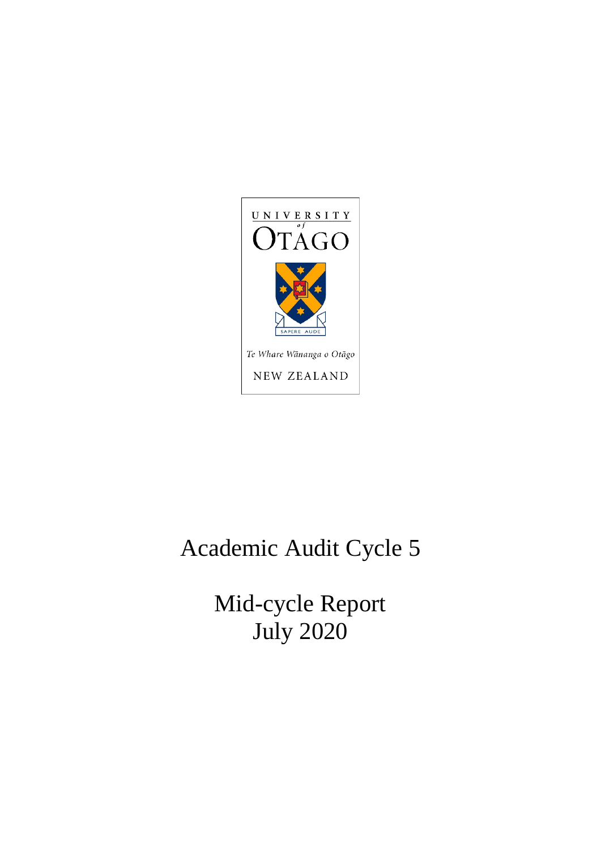

# Academic Audit Cycle 5

Mid-cycle Report July 2020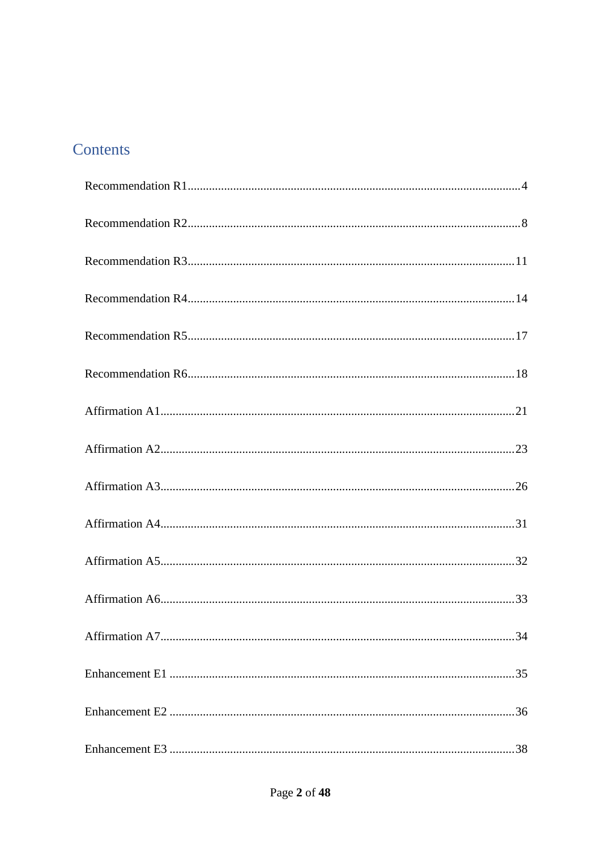# Contents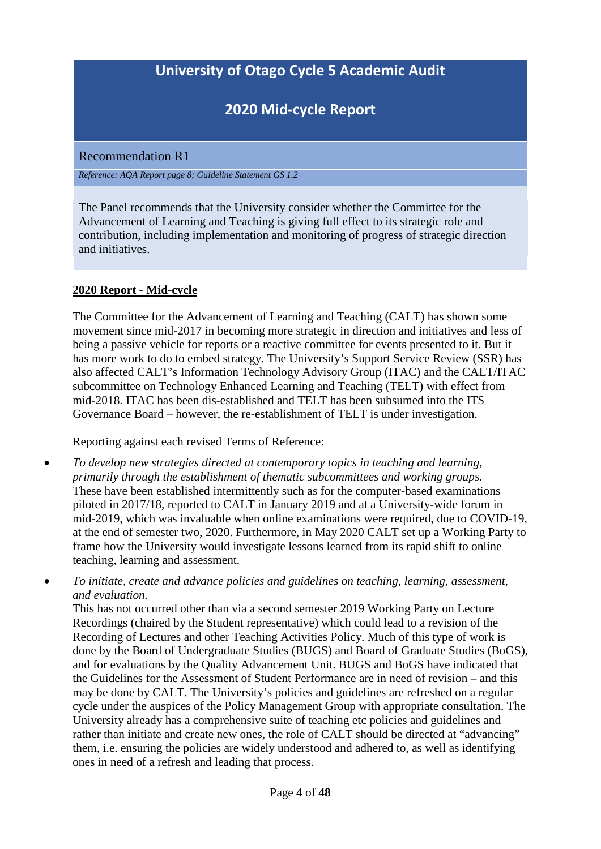# **2020 Mid-cycle Report**

<span id="page-3-0"></span>Recommendation R1

*Reference: AQA Report page 8; Guideline Statement GS 1.2*

The Panel recommends that the University consider whether the Committee for the Advancement of Learning and Teaching is giving full effect to its strategic role and contribution, including implementation and monitoring of progress of strategic direction and initiatives.

### **2020 Report - Mid-cycle**

The Committee for the Advancement of Learning and Teaching (CALT) has shown some movement since mid-2017 in becoming more strategic in direction and initiatives and less of being a passive vehicle for reports or a reactive committee for events presented to it. But it has more work to do to embed strategy. The University's Support Service Review (SSR) has also affected CALT's Information Technology Advisory Group (ITAC) and the CALT/ITAC subcommittee on Technology Enhanced Learning and Teaching (TELT) with effect from mid-2018. ITAC has been dis-established and TELT has been subsumed into the ITS Governance Board – however, the re-establishment of TELT is under investigation.

Reporting against each revised Terms of Reference:

- *To develop new strategies directed at contemporary topics in teaching and learning, primarily through the establishment of thematic subcommittees and working groups.* These have been established intermittently such as for the computer-based examinations piloted in 2017/18, reported to CALT in January 2019 and at a University-wide forum in mid-2019, which was invaluable when online examinations were required, due to COVID-19, at the end of semester two, 2020. Furthermore, in May 2020 CALT set up a Working Party to frame how the University would investigate lessons learned from its rapid shift to online teaching, learning and assessment.
- *To initiate, create and advance policies and guidelines on teaching, learning, assessment, and evaluation.*

This has not occurred other than via a second semester 2019 Working Party on Lecture Recordings (chaired by the Student representative) which could lead to a revision of the Recording of Lectures and other Teaching Activities Policy. Much of this type of work is done by the Board of Undergraduate Studies (BUGS) and Board of Graduate Studies (BoGS), and for evaluations by the Quality Advancement Unit. BUGS and BoGS have indicated that the Guidelines for the Assessment of Student Performance are in need of revision – and this may be done by CALT. The University's policies and guidelines are refreshed on a regular cycle under the auspices of the Policy Management Group with appropriate consultation. The University already has a comprehensive suite of teaching etc policies and guidelines and rather than initiate and create new ones, the role of CALT should be directed at "advancing" them, i.e. ensuring the policies are widely understood and adhered to, as well as identifying ones in need of a refresh and leading that process.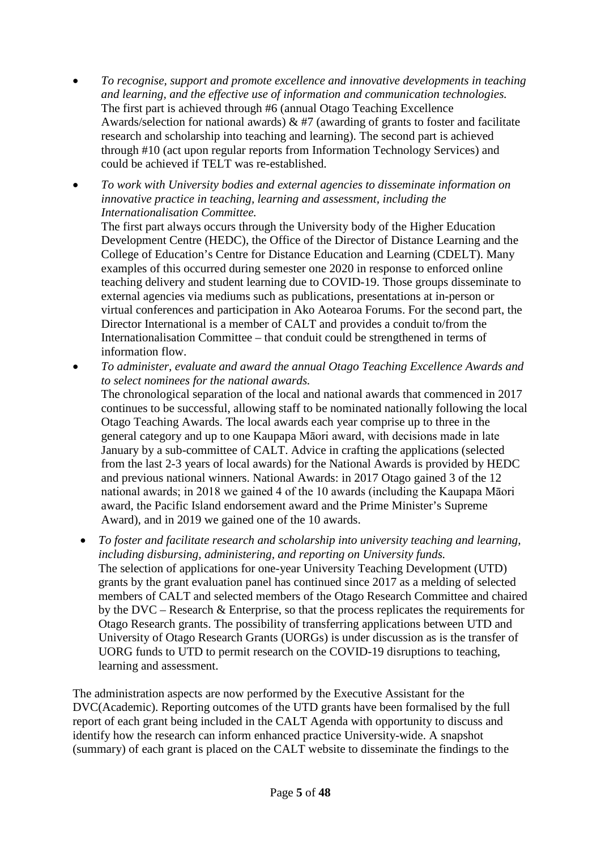- *To recognise, support and promote excellence and innovative developments in teaching and learning, and the effective use of information and communication technologies.* The first part is achieved through #6 (annual Otago Teaching Excellence Awards/selection for national awards)  $\&$  #7 (awarding of grants to foster and facilitate research and scholarship into teaching and learning). The second part is achieved through #10 (act upon regular reports from Information Technology Services) and could be achieved if TELT was re-established.
- *To work with University bodies and external agencies to disseminate information on innovative practice in teaching, learning and assessment, including the Internationalisation Committee.*

The first part always occurs through the University body of the Higher Education Development Centre (HEDC), the Office of the Director of Distance Learning and the College of Education's Centre for Distance Education and Learning (CDELT). Many examples of this occurred during semester one 2020 in response to enforced online teaching delivery and student learning due to COVID-19. Those groups disseminate to external agencies via mediums such as publications, presentations at in-person or virtual conferences and participation in Ako Aotearoa Forums. For the second part, the Director International is a member of CALT and provides a conduit to/from the Internationalisation Committee – that conduit could be strengthened in terms of information flow.

• *To administer, evaluate and award the annual Otago Teaching Excellence Awards and to select nominees for the national awards.*

The chronological separation of the local and national awards that commenced in 2017 continues to be successful, allowing staff to be nominated nationally following the local Otago Teaching Awards. The local awards each year comprise up to three in the general category and up to one Kaupapa Māori award, with decisions made in late January by a sub-committee of CALT. Advice in crafting the applications (selected from the last 2-3 years of local awards) for the National Awards is provided by HEDC and previous national winners. National Awards: in 2017 Otago gained 3 of the 12 national awards; in 2018 we gained 4 of the 10 awards (including the Kaupapa Māori award, the Pacific Island endorsement award and the Prime Minister's Supreme Award), and in 2019 we gained one of the 10 awards.

• *To foster and facilitate research and scholarship into university teaching and learning, including disbursing, administering, and reporting on University funds.* The selection of applications for one-year University Teaching Development (UTD) grants by the grant evaluation panel has continued since 2017 as a melding of selected members of CALT and selected members of the Otago Research Committee and chaired by the DVC – Research  $\&$  Enterprise, so that the process replicates the requirements for Otago Research grants. The possibility of transferring applications between UTD and University of Otago Research Grants (UORGs) is under discussion as is the transfer of UORG funds to UTD to permit research on the COVID-19 disruptions to teaching, learning and assessment.

The administration aspects are now performed by the Executive Assistant for the DVC(Academic). Reporting outcomes of the UTD grants have been formalised by the full report of each grant being included in the CALT Agenda with opportunity to discuss and identify how the research can inform enhanced practice University-wide. A snapshot (summary) of each grant is placed on the CALT website to disseminate the findings to the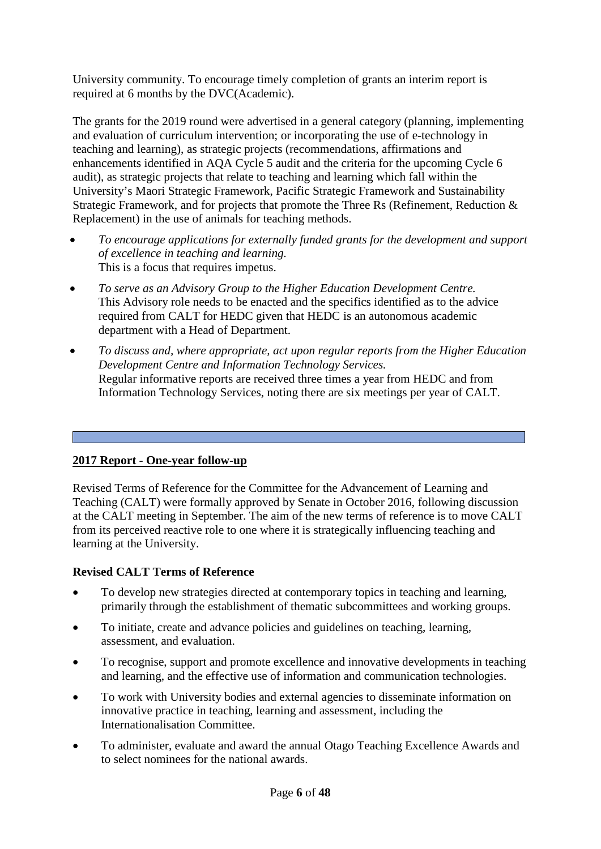University community. To encourage timely completion of grants an interim report is required at 6 months by the DVC(Academic).

The grants for the 2019 round were advertised in a general category (planning, implementing and evaluation of curriculum intervention; or incorporating the use of e-technology in teaching and learning), as strategic projects (recommendations, affirmations and enhancements identified in AQA Cycle 5 audit and the criteria for the upcoming Cycle 6 audit), as strategic projects that relate to teaching and learning which fall within the University's Maori Strategic Framework, Pacific Strategic Framework and Sustainability Strategic Framework, and for projects that promote the Three Rs (Refinement, Reduction & Replacement) in the use of animals for teaching methods.

- *To encourage applications for externally funded grants for the development and support of excellence in teaching and learning.* This is a focus that requires impetus.
- *To serve as an Advisory Group to the Higher Education Development Centre.* This Advisory role needs to be enacted and the specifics identified as to the advice required from CALT for HEDC given that HEDC is an autonomous academic department with a Head of Department.
- *To discuss and, where appropriate, act upon regular reports from the Higher Education Development Centre and Information Technology Services.* Regular informative reports are received three times a year from HEDC and from Information Technology Services, noting there are six meetings per year of CALT.

# **2017 Report - One-year follow-up**

Revised Terms of Reference for the Committee for the Advancement of Learning and Teaching (CALT) were formally approved by Senate in October 2016, following discussion at the CALT meeting in September. The aim of the new terms of reference is to move CALT from its perceived reactive role to one where it is strategically influencing teaching and learning at the University.

# **Revised CALT Terms of Reference**

- To develop new strategies directed at contemporary topics in teaching and learning, primarily through the establishment of thematic subcommittees and working groups.
- To initiate, create and advance policies and guidelines on teaching, learning, assessment, and evaluation.
- To recognise, support and promote excellence and innovative developments in teaching and learning, and the effective use of information and communication technologies.
- To work with University bodies and external agencies to disseminate information on innovative practice in teaching, learning and assessment, including the Internationalisation Committee.
- To administer, evaluate and award the annual Otago Teaching Excellence Awards and to select nominees for the national awards.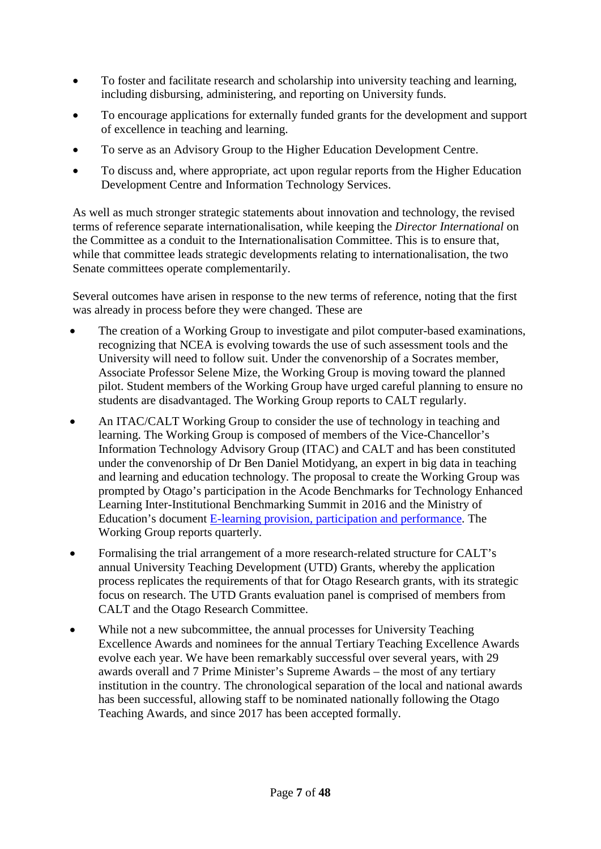- To foster and facilitate research and scholarship into university teaching and learning, including disbursing, administering, and reporting on University funds.
- To encourage applications for externally funded grants for the development and support of excellence in teaching and learning.
- To serve as an Advisory Group to the Higher Education Development Centre.
- To discuss and, where appropriate, act upon regular reports from the Higher Education Development Centre and Information Technology Services.

As well as much stronger strategic statements about innovation and technology, the revised terms of reference separate internationalisation, while keeping the *Director International* on the Committee as a conduit to the Internationalisation Committee. This is to ensure that, while that committee leads strategic developments relating to internationalisation, the two Senate committees operate complementarily.

Several outcomes have arisen in response to the new terms of reference, noting that the first was already in process before they were changed. These are

- The creation of a Working Group to investigate and pilot computer-based examinations, recognizing that NCEA is evolving towards the use of such assessment tools and the University will need to follow suit. Under the convenorship of a Socrates member, Associate Professor Selene Mize, the Working Group is moving toward the planned pilot. Student members of the Working Group have urged careful planning to ensure no students are disadvantaged. The Working Group reports to CALT regularly.
- An ITAC/CALT Working Group to consider the use of technology in teaching and learning. The Working Group is composed of members of the Vice-Chancellor's Information Technology Advisory Group (ITAC) and CALT and has been constituted under the convenorship of Dr Ben Daniel Motidyang, an expert in big data in teaching and learning and education technology. The proposal to create the Working Group was prompted by Otago's participation in the Acode Benchmarks for Technology Enhanced Learning Inter-Institutional Benchmarking Summit in 2016 and the Ministry of Education's document [E-learning provision, participation and performance.](http://www.educationcounts.govt.nz/publications/e-Learning/e-learning-provision,-participation-and-performance) The Working Group reports quarterly.
- Formalising the trial arrangement of a more research-related structure for CALT's annual University Teaching Development (UTD) Grants, whereby the application process replicates the requirements of that for Otago Research grants, with its strategic focus on research. The UTD Grants evaluation panel is comprised of members from CALT and the Otago Research Committee.
- While not a new subcommittee, the annual processes for University Teaching Excellence Awards and nominees for the annual Tertiary Teaching Excellence Awards evolve each year. We have been remarkably successful over several years, with 29 awards overall and 7 Prime Minister's Supreme Awards – the most of any tertiary institution in the country. The chronological separation of the local and national awards has been successful, allowing staff to be nominated nationally following the Otago Teaching Awards, and since 2017 has been accepted formally.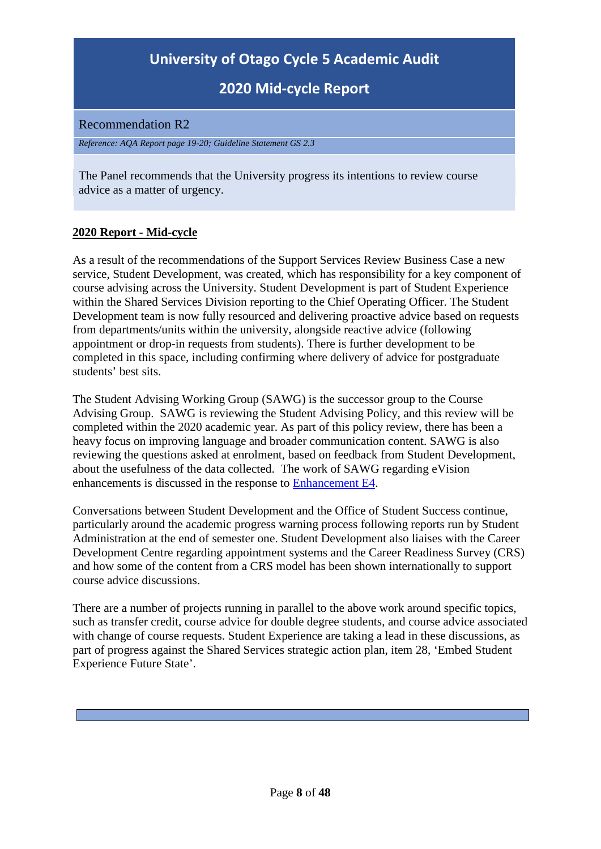# **2020 Mid-cycle Report**

<span id="page-7-0"></span>Recommendation R2

*Reference: AQA Report page 19-20; Guideline Statement GS 2.3*

The Panel recommends that the University progress its intentions to review course advice as a matter of urgency.

### **2020 Report - Mid-cycle**

As a result of the recommendations of the Support Services Review Business Case a new service, Student Development, was created, which has responsibility for a key component of course advising across the University. Student Development is part of Student Experience within the Shared Services Division reporting to the Chief Operating Officer. The Student Development team is now fully resourced and delivering proactive advice based on requests from departments/units within the university, alongside reactive advice (following appointment or drop-in requests from students). There is further development to be completed in this space, including confirming where delivery of advice for postgraduate students' best sits.

The Student Advising Working Group (SAWG) is the successor group to the Course Advising Group. SAWG is reviewing the Student Advising Policy, and this review will be completed within the 2020 academic year. As part of this policy review, there has been a heavy focus on improving language and broader communication content. SAWG is also reviewing the questions asked at enrolment, based on feedback from Student Development, about the usefulness of the data collected. The work of SAWG regarding eVision enhancements is discussed in the response to [Enhancement E4.](#page-38-0)

Conversations between Student Development and the Office of Student Success continue, particularly around the academic progress warning process following reports run by Student Administration at the end of semester one. Student Development also liaises with the Career Development Centre regarding appointment systems and the Career Readiness Survey (CRS) and how some of the content from a CRS model has been shown internationally to support course advice discussions.

There are a number of projects running in parallel to the above work around specific topics, such as transfer credit, course advice for double degree students, and course advice associated with change of course requests. Student Experience are taking a lead in these discussions, as part of progress against the Shared Services strategic action plan, item 28, 'Embed Student Experience Future State'.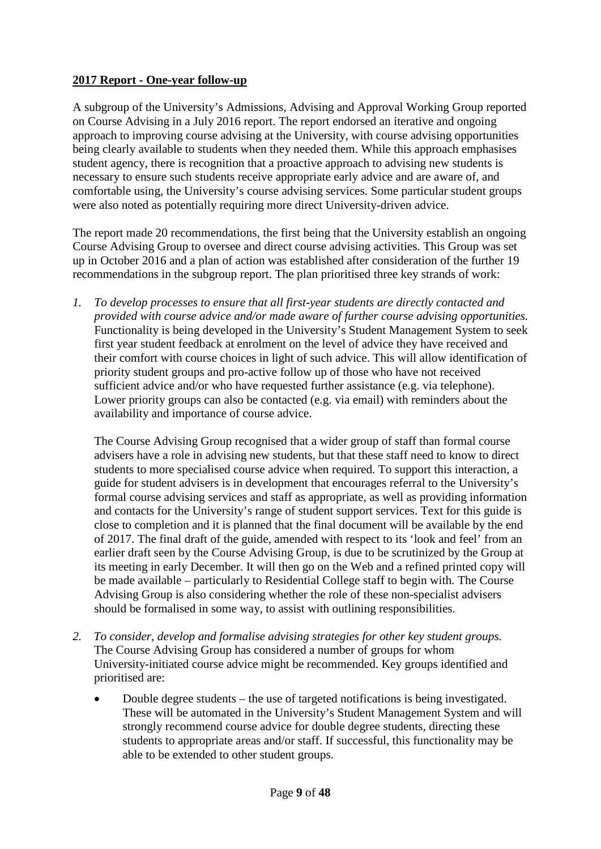### **2017 Report - One-year follow-up**

A subgroup of the University's Admissions, Advising and Approval Working Group reported on Course Advising in a July 2016 report. The report endorsed an iterative and ongoing approach to improving course advising at the University, with course advising opportunities being clearly available to students when they needed them. While this approach emphasises student agency, there is recognition that a proactive approach to advising new students is necessary to ensure such students receive appropriate early advice and are aware of, and comfortable using, the University's course advising services. Some particular student groups were also noted as potentially requiring more direct University-driven advice.

The report made 20 recommendations, the first being that the University establish an ongoing Course Advising Group to oversee and direct course advising activities. This Group was set up in October 2016 and a plan of action was established after consideration of the further 19 recommendations in the subgroup report. The plan prioritised three key strands of work:

*1. To develop processes to ensure that all first-year students are directly contacted and provided with course advice and/or made aware of further course advising opportunities.* Functionality is being developed in the University's Student Management System to seek first year student feedback at enrolment on the level of advice they have received and their comfort with course choices in light of such advice. This will allow identification of priority student groups and pro-active follow up of those who have not received sufficient advice and/or who have requested further assistance (e.g. via telephone). Lower priority groups can also be contacted (e.g. via email) with reminders about the availability and importance of course advice.

The Course Advising Group recognised that a wider group of staff than formal course advisers have a role in advising new students, but that these staff need to know to direct students to more specialised course advice when required. To support this interaction, a guide for student advisers is in development that encourages referral to the University's formal course advising services and staff as appropriate, as well as providing information and contacts for the University's range of student support services. Text for this guide is close to completion and it is planned that the final document will be available by the end of 2017. The final draft of the guide, amended with respect to its 'look and feel' from an earlier draft seen by the Course Advising Group, is due to be scrutinized by the Group at its meeting in early December. It will then go on the Web and a refined printed copy will be made available – particularly to Residential College staff to begin with. The Course Advising Group is also considering whether the role of these non-specialist advisers should be formalised in some way, to assist with outlining responsibilities.

- *2. To consider, develop and formalise advising strategies for other key student groups.* The Course Advising Group has considered a number of groups for whom University-initiated course advice might be recommended. Key groups identified and prioritised are:
	- Double degree students the use of targeted notifications is being investigated. These will be automated in the University's Student Management System and will strongly recommend course advice for double degree students, directing these students to appropriate areas and/or staff. If successful, this functionality may be able to be extended to other student groups.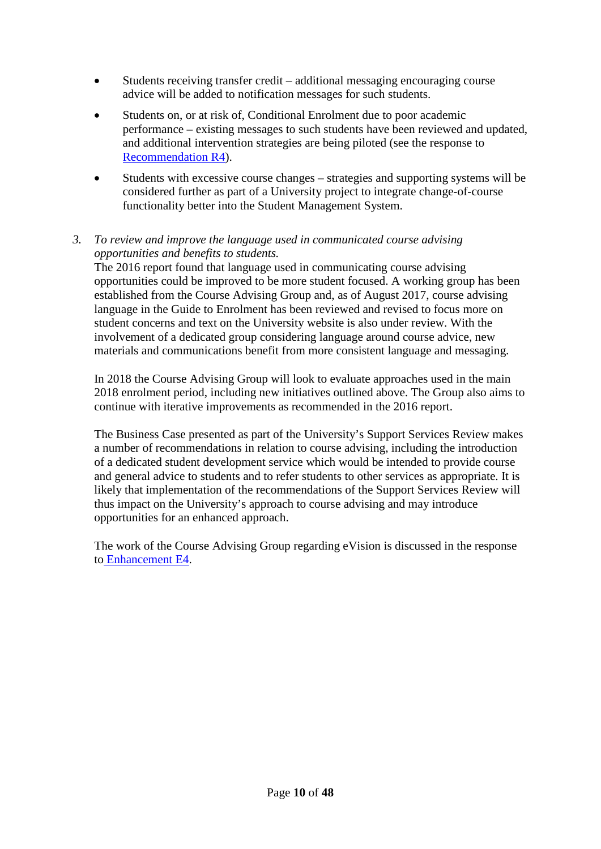- Students receiving transfer credit additional messaging encouraging course advice will be added to notification messages for such students.
- Students on, or at risk of, Conditional Enrolment due to poor academic performance – existing messages to such students have been reviewed and updated, and additional intervention strategies are being piloted (see the response to [Recommendation R4\)](#page-13-0).
- Students with excessive course changes strategies and supporting systems will be considered further as part of a University project to integrate change-of-course functionality better into the Student Management System.

### *3. To review and improve the language used in communicated course advising opportunities and benefits to students.*

The 2016 report found that language used in communicating course advising opportunities could be improved to be more student focused. A working group has been established from the Course Advising Group and, as of August 2017, course advising language in the Guide to Enrolment has been reviewed and revised to focus more on student concerns and text on the University website is also under review. With the involvement of a dedicated group considering language around course advice, new materials and communications benefit from more consistent language and messaging.

In 2018 the Course Advising Group will look to evaluate approaches used in the main 2018 enrolment period, including new initiatives outlined above. The Group also aims to continue with iterative improvements as recommended in the 2016 report.

The Business Case presented as part of the University's Support Services Review makes a number of recommendations in relation to course advising, including the introduction of a dedicated student development service which would be intended to provide course and general advice to students and to refer students to other services as appropriate. It is likely that implementation of the recommendations of the Support Services Review will thus impact on the University's approach to course advising and may introduce opportunities for an enhanced approach.

The work of the Course Advising Group regarding eVision is discussed in the response to [Enhancement E4.](#page-38-0)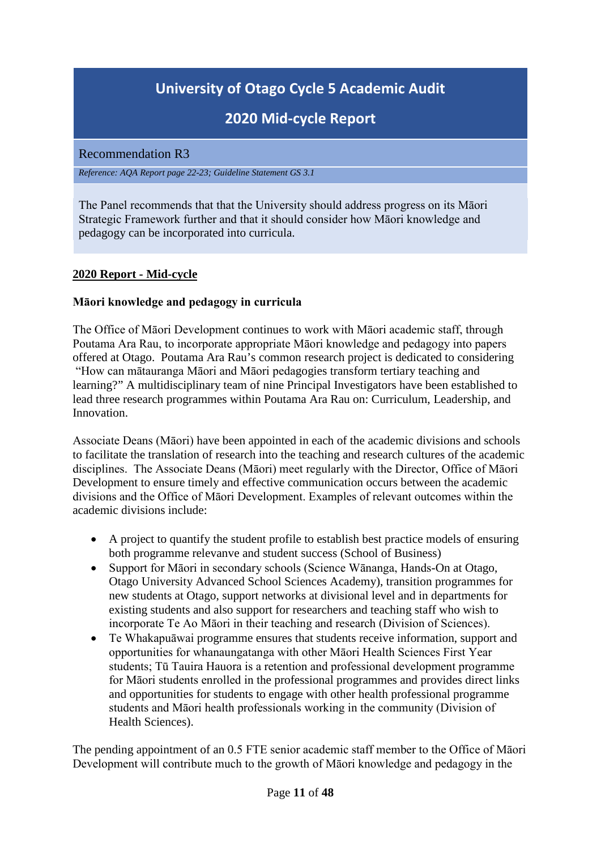# **2020 Mid-cycle Report**

#### <span id="page-10-0"></span>Recommendation R3

*Reference: AQA Report page 22-23; Guideline Statement GS 3.1*

The Panel recommends that that the University should address progress on its Māori Strategic Framework further and that it should consider how Māori knowledge and pedagogy can be incorporated into curricula.

### **2020 Report - Mid-cycle**

#### **Māori knowledge and pedagogy in curricula**

The Office of Māori Development continues to work with Māori academic staff, through Poutama Ara Rau, to incorporate appropriate Māori knowledge and pedagogy into papers offered at Otago. Poutama Ara Rau's common research project is dedicated to considering "How can mātauranga Māori and Māori pedagogies transform tertiary teaching and learning?" A multidisciplinary team of nine Principal Investigators have been established to lead three research programmes within Poutama Ara Rau on: Curriculum, Leadership, and Innovation.

Associate Deans (Māori) have been appointed in each of the academic divisions and schools to facilitate the translation of research into the teaching and research cultures of the academic disciplines. The Associate Deans (Māori) meet regularly with the Director, Office of Māori Development to ensure timely and effective communication occurs between the academic divisions and the Office of Māori Development. Examples of relevant outcomes within the academic divisions include:

- A project to quantify the student profile to establish best practice models of ensuring both programme relevanve and student success (School of Business)
- Support for Māori in secondary schools (Science Wānanga, Hands-On at Otago, Otago University Advanced School Sciences Academy), transition programmes for new students at Otago, support networks at divisional level and in departments for existing students and also support for researchers and teaching staff who wish to incorporate Te Ao Māori in their teaching and research (Division of Sciences).
- Te Whakapuāwai programme ensures that students receive information, support and opportunities for whanaungatanga with other Māori Health Sciences First Year students; Tū Tauira Hauora is a retention and professional development programme for Māori students enrolled in the professional programmes and provides direct links and opportunities for students to engage with other health professional programme students and Māori health professionals working in the community (Division of Health Sciences).

The pending appointment of an 0.5 FTE senior academic staff member to the Office of Māori Development will contribute much to the growth of Māori knowledge and pedagogy in the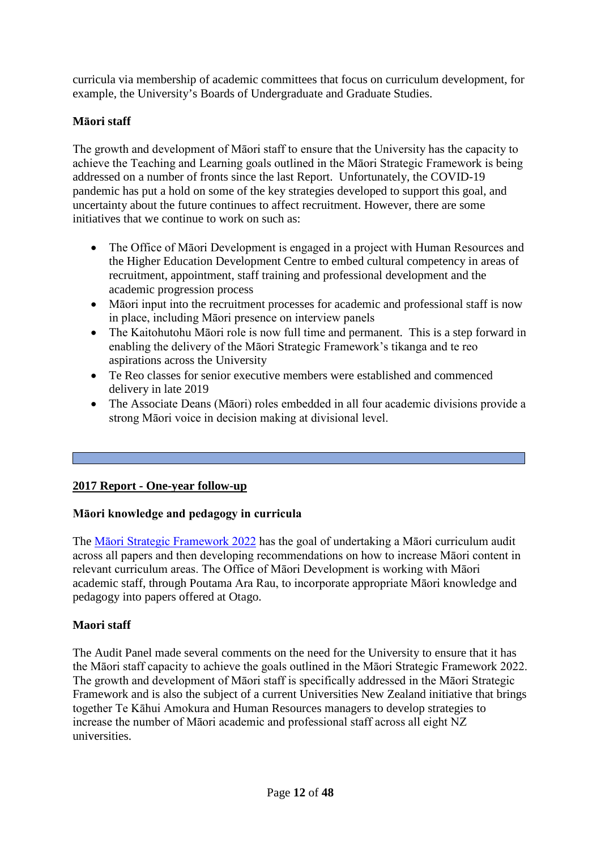curricula via membership of academic committees that focus on curriculum development, for example, the University's Boards of Undergraduate and Graduate Studies.

# **Māori staff**

The growth and development of Māori staff to ensure that the University has the capacity to achieve the Teaching and Learning goals outlined in the Māori Strategic Framework is being addressed on a number of fronts since the last Report. Unfortunately, the COVID-19 pandemic has put a hold on some of the key strategies developed to support this goal, and uncertainty about the future continues to affect recruitment. However, there are some initiatives that we continue to work on such as:

- The Office of Māori Development is engaged in a project with Human Resources and the Higher Education Development Centre to embed cultural competency in areas of recruitment, appointment, staff training and professional development and the academic progression process
- Māori input into the recruitment processes for academic and professional staff is now in place, including Māori presence on interview panels
- The Kaitohutohu Māori role is now full time and permanent. This is a step forward in enabling the delivery of the Māori Strategic Framework's tikanga and te reo aspirations across the University
- Te Reo classes for senior executive members were established and commenced delivery in late 2019
- The Associate Deans (Māori) roles embedded in all four academic divisions provide a strong Māori voice in decision making at divisional level.

# **2017 Report - One-year follow-up**

# **Māori knowledge and pedagogy in curricula**

The [Māori Strategic Framework 2022](http://maori.otago.ac.nz/documents/MSF_2020.pdf) has the goal of undertaking a Māori curriculum audit across all papers and then developing recommendations on how to increase Māori content in relevant curriculum areas. The Office of Māori Development is working with Māori academic staff, through Poutama Ara Rau, to incorporate appropriate Māori knowledge and pedagogy into papers offered at Otago.

# **Maori staff**

The Audit Panel made several comments on the need for the University to ensure that it has the Māori staff capacity to achieve the goals outlined in the Māori Strategic Framework 2022. The growth and development of Māori staff is specifically addressed in the Māori Strategic Framework and is also the subject of a current Universities New Zealand initiative that brings together Te Kāhui Amokura and Human Resources managers to develop strategies to increase the number of Māori academic and professional staff across all eight NZ universities.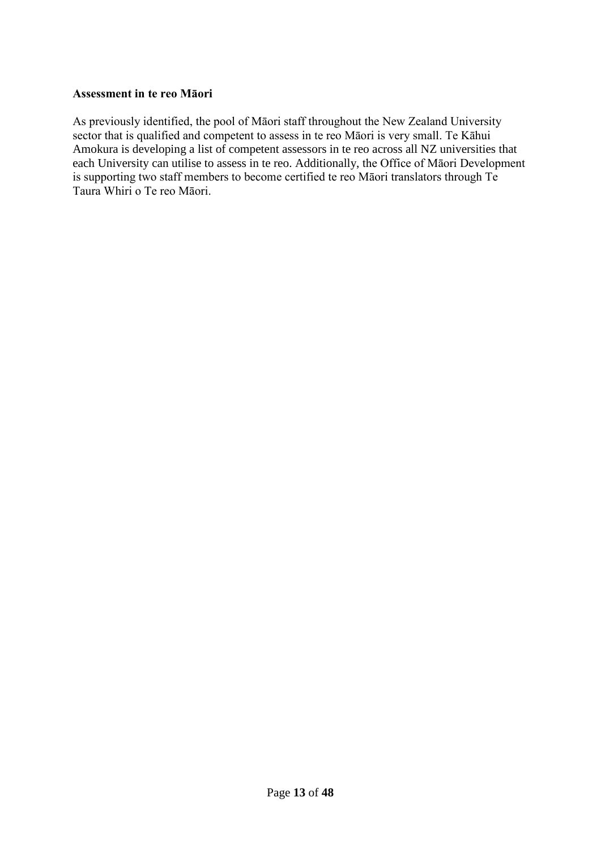#### **Assessment in te reo Māori**

As previously identified, the pool of Māori staff throughout the New Zealand University sector that is qualified and competent to assess in te reo Māori is very small. Te Kāhui Amokura is developing a list of competent assessors in te reo across all NZ universities that each University can utilise to assess in te reo. Additionally, the Office of Māori Development is supporting two staff members to become certified te reo Māori translators through Te Taura Whiri o Te reo Māori.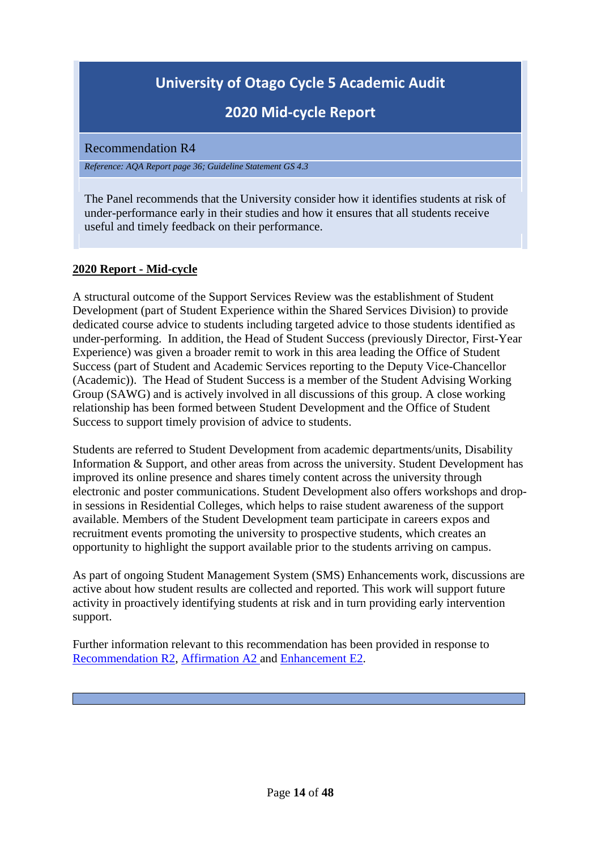# **2020 Mid-cycle Report**

#### <span id="page-13-0"></span>Recommendation R4

*Reference: AQA Report page 36; Guideline Statement GS 4.3*

The Panel recommends that the University consider how it identifies students at risk of under-performance early in their studies and how it ensures that all students receive useful and timely feedback on their performance.

# **2020 Report - Mid-cycle**

A structural outcome of the Support Services Review was the establishment of Student Development (part of Student Experience within the Shared Services Division) to provide dedicated course advice to students including targeted advice to those students identified as under-performing. In addition, the Head of Student Success (previously Director, First-Year Experience) was given a broader remit to work in this area leading the Office of Student Success (part of Student and Academic Services reporting to the Deputy Vice-Chancellor (Academic)). The Head of Student Success is a member of the Student Advising Working Group (SAWG) and is actively involved in all discussions of this group. A close working relationship has been formed between Student Development and the Office of Student Success to support timely provision of advice to students.

Students are referred to Student Development from academic departments/units, Disability Information & Support, and other areas from across the university. Student Development has improved its online presence and shares timely content across the university through electronic and poster communications. Student Development also offers workshops and dropin sessions in Residential Colleges, which helps to raise student awareness of the support available. Members of the Student Development team participate in careers expos and recruitment events promoting the university to prospective students, which creates an opportunity to highlight the support available prior to the students arriving on campus.

As part of ongoing Student Management System (SMS) Enhancements work, discussions are active about how student results are collected and reported. This work will support future activity in proactively identifying students at risk and in turn providing early intervention support.

Further information relevant to this recommendation has been provided in response to [Recommendation R2,](#page-7-0) [Affirmation A2](#page-22-0) and [Enhancement E2.](#page-35-0)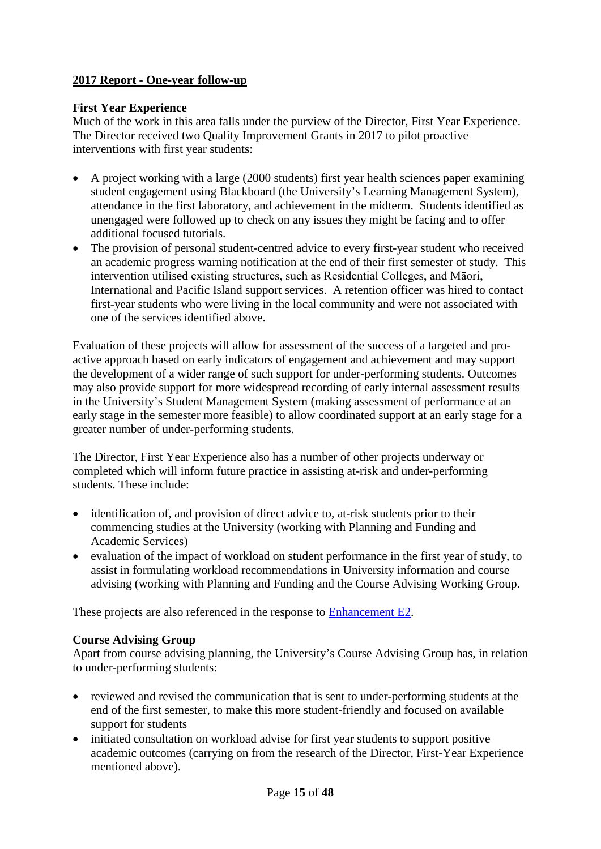# **2017 Report - One-year follow-up**

#### **First Year Experience**

Much of the work in this area falls under the purview of the Director, First Year Experience. The Director received two Quality Improvement Grants in 2017 to pilot proactive interventions with first year students:

- A project working with a large (2000 students) first year health sciences paper examining student engagement using Blackboard (the University's Learning Management System), attendance in the first laboratory, and achievement in the midterm. Students identified as unengaged were followed up to check on any issues they might be facing and to offer additional focused tutorials.
- The provision of personal student-centred advice to every first-year student who received an academic progress warning notification at the end of their first semester of study. This intervention utilised existing structures, such as Residential Colleges, and Māori, International and Pacific Island support services. A retention officer was hired to contact first-year students who were living in the local community and were not associated with one of the services identified above.

Evaluation of these projects will allow for assessment of the success of a targeted and proactive approach based on early indicators of engagement and achievement and may support the development of a wider range of such support for under-performing students. Outcomes may also provide support for more widespread recording of early internal assessment results in the University's Student Management System (making assessment of performance at an early stage in the semester more feasible) to allow coordinated support at an early stage for a greater number of under-performing students.

The Director, First Year Experience also has a number of other projects underway or completed which will inform future practice in assisting at-risk and under-performing students. These include:

- identification of, and provision of direct advice to, at-risk students prior to their commencing studies at the University (working with Planning and Funding and Academic Services)
- evaluation of the impact of workload on student performance in the first year of study, to assist in formulating workload recommendations in University information and course advising (working with Planning and Funding and the Course Advising Working Group.

These projects are also referenced in the response to [Enhancement E2.](#page-35-0)

#### **Course Advising Group**

Apart from course advising planning, the University's Course Advising Group has, in relation to under-performing students:

- reviewed and revised the communication that is sent to under-performing students at the end of the first semester, to make this more student-friendly and focused on available support for students
- initiated consultation on workload advise for first year students to support positive academic outcomes (carrying on from the research of the Director, First-Year Experience mentioned above).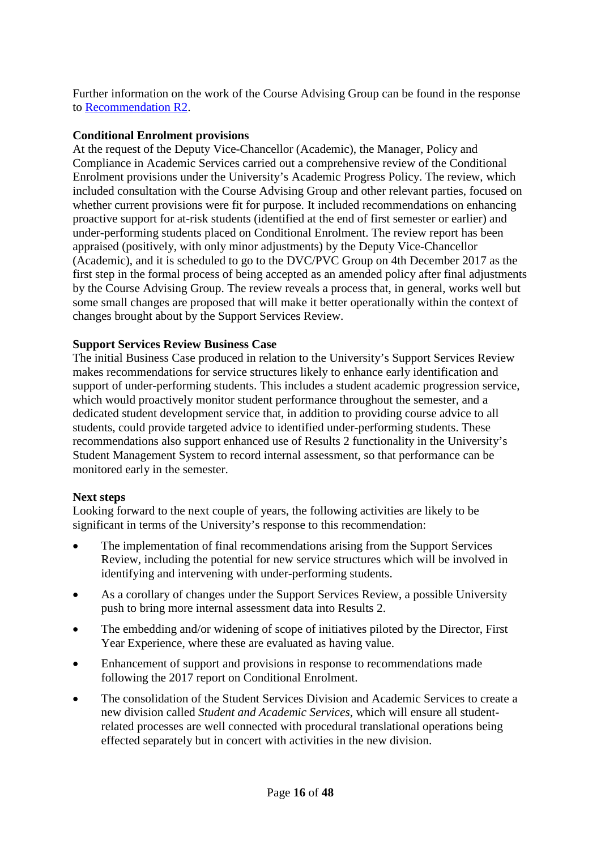Further information on the work of the Course Advising Group can be found in the response to [Recommendation R2.](#page-7-0)

#### **Conditional Enrolment provisions**

At the request of the Deputy Vice-Chancellor (Academic), the Manager, Policy and Compliance in Academic Services carried out a comprehensive review of the Conditional Enrolment provisions under the University's Academic Progress Policy. The review, which included consultation with the Course Advising Group and other relevant parties, focused on whether current provisions were fit for purpose. It included recommendations on enhancing proactive support for at-risk students (identified at the end of first semester or earlier) and under-performing students placed on Conditional Enrolment. The review report has been appraised (positively, with only minor adjustments) by the Deputy Vice-Chancellor (Academic), and it is scheduled to go to the DVC/PVC Group on 4th December 2017 as the first step in the formal process of being accepted as an amended policy after final adjustments by the Course Advising Group. The review reveals a process that, in general, works well but some small changes are proposed that will make it better operationally within the context of changes brought about by the Support Services Review.

#### **Support Services Review Business Case**

The initial Business Case produced in relation to the University's Support Services Review makes recommendations for service structures likely to enhance early identification and support of under-performing students. This includes a student academic progression service, which would proactively monitor student performance throughout the semester, and a dedicated student development service that, in addition to providing course advice to all students, could provide targeted advice to identified under-performing students. These recommendations also support enhanced use of Results 2 functionality in the University's Student Management System to record internal assessment, so that performance can be monitored early in the semester.

#### **Next steps**

Looking forward to the next couple of years, the following activities are likely to be significant in terms of the University's response to this recommendation:

- The implementation of final recommendations arising from the Support Services Review, including the potential for new service structures which will be involved in identifying and intervening with under-performing students.
- As a corollary of changes under the Support Services Review, a possible University push to bring more internal assessment data into Results 2.
- The embedding and/or widening of scope of initiatives piloted by the Director, First Year Experience, where these are evaluated as having value.
- Enhancement of support and provisions in response to recommendations made following the 2017 report on Conditional Enrolment.
- The consolidation of the Student Services Division and Academic Services to create a new division called *Student and Academic Services*, which will ensure all studentrelated processes are well connected with procedural translational operations being effected separately but in concert with activities in the new division.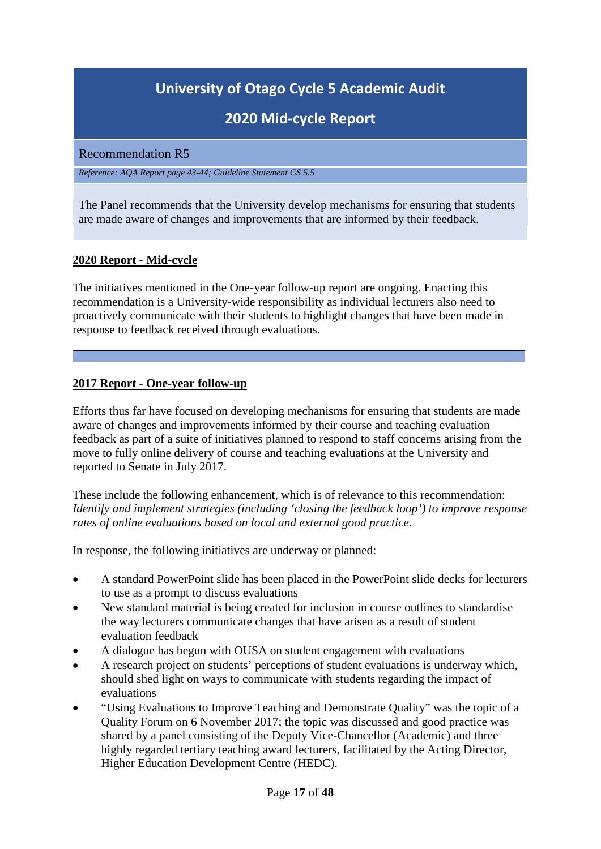# **2020 Mid-cycle Report**

#### <span id="page-16-0"></span>Recommendation R5

*Reference: AQA Report page 43-44; Guideline Statement GS 5.5*

The Panel recommends that the University develop mechanisms for ensuring that students are made aware of changes and improvements that are informed by their feedback.

#### **2020 Report - Mid-cycle**

The initiatives mentioned in the One-year follow-up report are ongoing. Enacting this recommendation is a University-wide responsibility as individual lecturers also need to proactively communicate with their students to highlight changes that have been made in response to feedback received through evaluations.

#### **2017 Report - One-year follow-up**

Efforts thus far have focused on developing mechanisms for ensuring that students are made aware of changes and improvements informed by their course and teaching evaluation feedback as part of a suite of initiatives planned to respond to staff concerns arising from the move to fully online delivery of course and teaching evaluations at the University and reported to Senate in July 2017.

These include the following enhancement, which is of relevance to this recommendation: *Identify and implement strategies (including 'closing the feedback loop') to improve response rates of online evaluations based on local and external good practice.*

In response, the following initiatives are underway or planned:

- A standard PowerPoint slide has been placed in the PowerPoint slide decks for lecturers to use as a prompt to discuss evaluations
- New standard material is being created for inclusion in course outlines to standardise the way lecturers communicate changes that have arisen as a result of student evaluation feedback
- A dialogue has begun with OUSA on student engagement with evaluations
- A research project on students' perceptions of student evaluations is underway which, should shed light on ways to communicate with students regarding the impact of evaluations
- "Using Evaluations to Improve Teaching and Demonstrate Quality" was the topic of a Quality Forum on 6 November 2017; the topic was discussed and good practice was shared by a panel consisting of the Deputy Vice-Chancellor (Academic) and three highly regarded tertiary teaching award lecturers, facilitated by the Acting Director, Higher Education Development Centre (HEDC).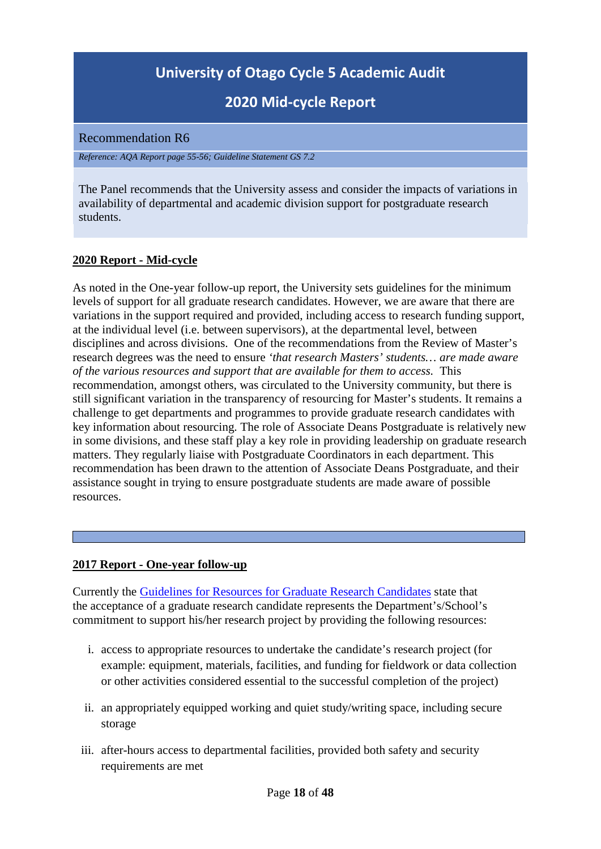# **2020 Mid-cycle Report**

<span id="page-17-0"></span>Recommendation R6

*Reference: AQA Report page 55-56; Guideline Statement GS 7.2*

The Panel recommends that the University assess and consider the impacts of variations in availability of departmental and academic division support for postgraduate research students.

# **2020 Report - Mid-cycle**

As noted in the One-year follow-up report, the University sets guidelines for the minimum levels of support for all graduate research candidates. However, we are aware that there are variations in the support required and provided, including access to research funding support, at the individual level (i.e. between supervisors), at the departmental level, between disciplines and across divisions. One of the recommendations from the Review of Master's research degrees was the need to ensure *'that research Masters' students… are made aware of the various resources and support that are available for them to access.* This recommendation, amongst others, was circulated to the University community, but there is still significant variation in the transparency of resourcing for Master's students. It remains a challenge to get departments and programmes to provide graduate research candidates with key information about resourcing. The role of Associate Deans Postgraduate is relatively new in some divisions, and these staff play a key role in providing leadership on graduate research matters. They regularly liaise with Postgraduate Coordinators in each department. This recommendation has been drawn to the attention of Associate Deans Postgraduate, and their assistance sought in trying to ensure postgraduate students are made aware of possible resources.

#### **2017 Report - One-year follow-up**

Currently the [Guidelines for Resources for Graduate Research Candidates](http://www.otago.ac.nz/administration/policies/otago003277.html) state that the acceptance of a graduate research candidate represents the Department's/School's commitment to support his/her research project by providing the following resources:

- i. access to appropriate resources to undertake the candidate's research project (for example: equipment, materials, facilities, and funding for fieldwork or data collection or other activities considered essential to the successful completion of the project)
- ii. an appropriately equipped working and quiet study/writing space, including secure storage
- iii. after-hours access to departmental facilities, provided both safety and security requirements are met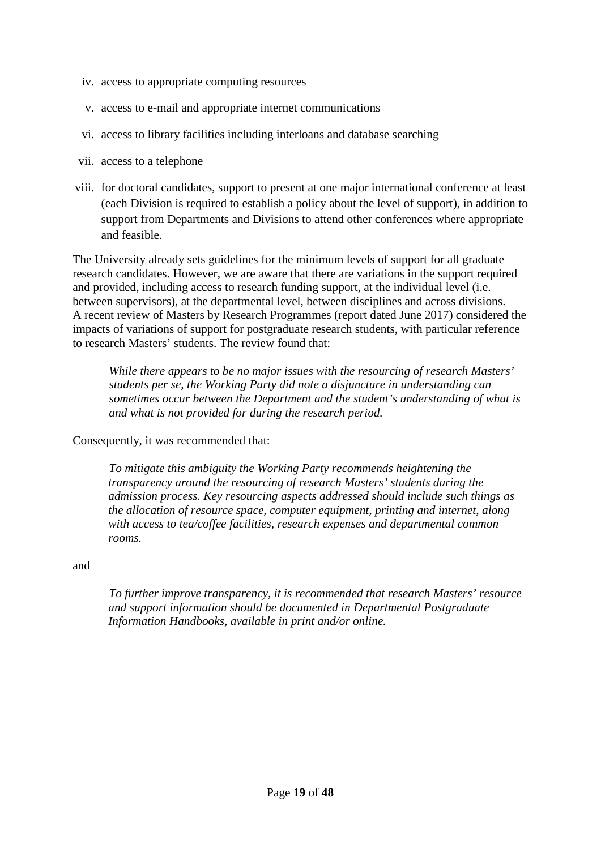- iv. access to appropriate computing resources
- v. access to e-mail and appropriate internet communications
- vi. access to library facilities including interloans and database searching
- vii. access to a telephone
- viii. for doctoral candidates, support to present at one major international conference at least (each Division is required to establish a policy about the level of support), in addition to support from Departments and Divisions to attend other conferences where appropriate and feasible.

The University already sets guidelines for the minimum levels of support for all graduate research candidates. However, we are aware that there are variations in the support required and provided, including access to research funding support, at the individual level (i.e. between supervisors), at the departmental level, between disciplines and across divisions. A recent review of Masters by Research Programmes (report dated June 2017) considered the impacts of variations of support for postgraduate research students, with particular reference to research Masters' students. The review found that:

*While there appears to be no major issues with the resourcing of research Masters' students per se, the Working Party did note a disjuncture in understanding can sometimes occur between the Department and the student's understanding of what is and what is not provided for during the research period.* 

Consequently, it was recommended that:

*To mitigate this ambiguity the Working Party recommends heightening the transparency around the resourcing of research Masters' students during the admission process. Key resourcing aspects addressed should include such things as the allocation of resource space, computer equipment, printing and internet, along with access to tea/coffee facilities, research expenses and departmental common rooms.* 

and

*To further improve transparency, it is recommended that research Masters' resource and support information should be documented in Departmental Postgraduate Information Handbooks, available in print and/or online.*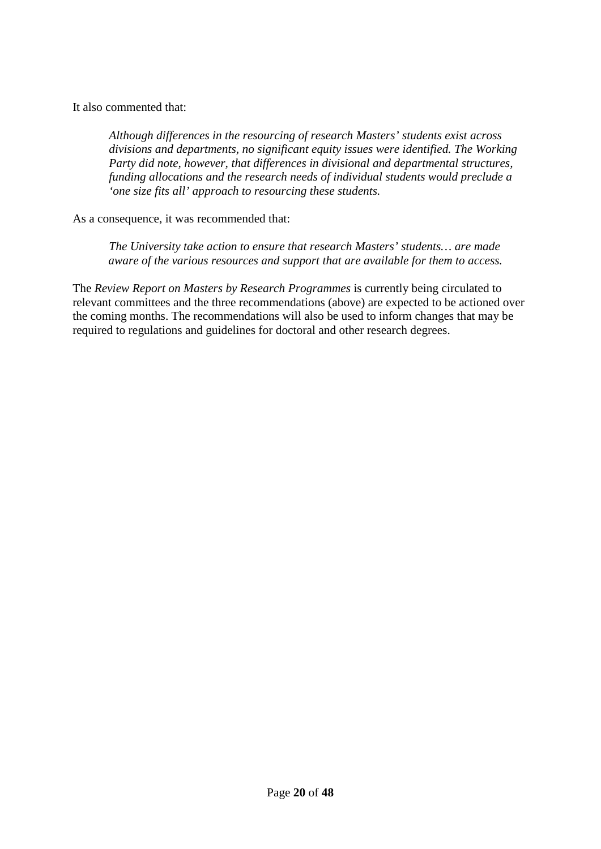It also commented that:

*Although differences in the resourcing of research Masters' students exist across divisions and departments, no significant equity issues were identified. The Working Party did note, however, that differences in divisional and departmental structures, funding allocations and the research needs of individual students would preclude a 'one size fits all' approach to resourcing these students.* 

As a consequence, it was recommended that:

*The University take action to ensure that research Masters' students… are made aware of the various resources and support that are available for them to access.* 

The *Review Report on Masters by Research Programmes* is currently being circulated to relevant committees and the three recommendations (above) are expected to be actioned over the coming months. The recommendations will also be used to inform changes that may be required to regulations and guidelines for doctoral and other research degrees.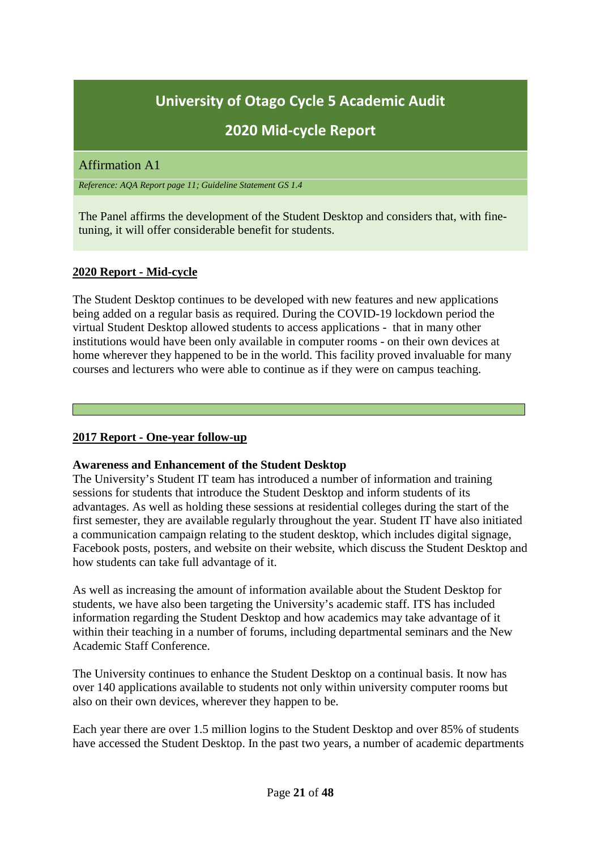# **2020 Mid-cycle Report**

### <span id="page-20-0"></span>Affirmation A1

*Reference: AQA Report page 11; Guideline Statement GS 1.4*

The Panel affirms the development of the Student Desktop and considers that, with finetuning, it will offer considerable benefit for students.

### **2020 Report - Mid-cycle**

The Student Desktop continues to be developed with new features and new applications being added on a regular basis as required. During the COVID-19 lockdown period the virtual Student Desktop allowed students to access applications - that in many other institutions would have been only available in computer rooms - on their own devices at home wherever they happened to be in the world. This facility proved invaluable for many courses and lecturers who were able to continue as if they were on campus teaching.

#### **2017 Report - One-year follow-up**

#### **Awareness and Enhancement of the Student Desktop**

The University's Student IT team has introduced a number of information and training sessions for students that introduce the Student Desktop and inform students of its advantages. As well as holding these sessions at residential colleges during the start of the first semester, they are available regularly throughout the year. Student IT have also initiated a communication campaign relating to the student desktop, which includes digital signage, Facebook posts, posters, and website on their website, which discuss the Student Desktop and how students can take full advantage of it.

As well as increasing the amount of information available about the Student Desktop for students, we have also been targeting the University's academic staff. ITS has included information regarding the Student Desktop and how academics may take advantage of it within their teaching in a number of forums, including departmental seminars and the New Academic Staff Conference.

The University continues to enhance the Student Desktop on a continual basis. It now has over 140 applications available to students not only within university computer rooms but also on their own devices, wherever they happen to be.

Each year there are over 1.5 million logins to the Student Desktop and over 85% of students have accessed the Student Desktop. In the past two years, a number of academic departments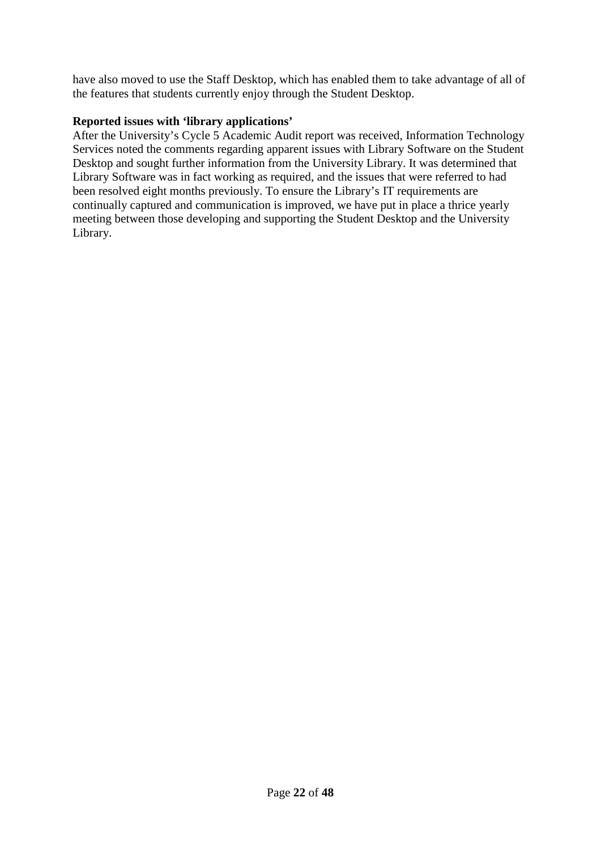have also moved to use the Staff Desktop, which has enabled them to take advantage of all of the features that students currently enjoy through the Student Desktop.

#### **Reported issues with 'library applications'**

After the University's Cycle 5 Academic Audit report was received, Information Technology Services noted the comments regarding apparent issues with Library Software on the Student Desktop and sought further information from the University Library. It was determined that Library Software was in fact working as required, and the issues that were referred to had been resolved eight months previously. To ensure the Library's IT requirements are continually captured and communication is improved, we have put in place a thrice yearly meeting between those developing and supporting the Student Desktop and the University Library.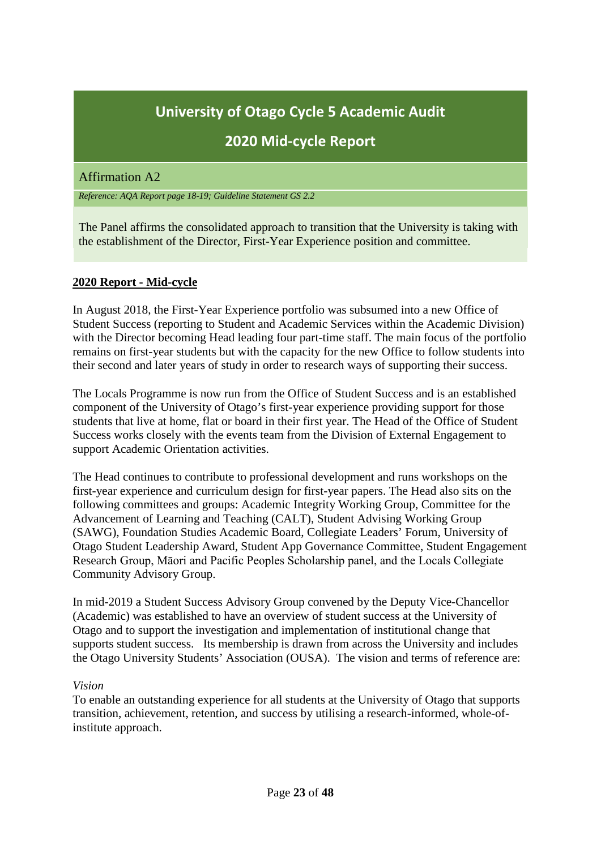# **2020 Mid-cycle Report**

#### <span id="page-22-0"></span>Affirmation A2

*Reference: AQA Report page 18-19; Guideline Statement GS 2.2*

The Panel affirms the consolidated approach to transition that the University is taking with the establishment of the Director, First-Year Experience position and committee.

#### **2020 Report - Mid-cycle**

In August 2018, the First-Year Experience portfolio was subsumed into a new Office of Student Success (reporting to Student and Academic Services within the Academic Division) with the Director becoming Head leading four part-time staff. The main focus of the portfolio remains on first-year students but with the capacity for the new Office to follow students into their second and later years of study in order to research ways of supporting their success.

The Locals Programme is now run from the Office of Student Success and is an established component of the University of Otago's first-year experience providing support for those students that live at home, flat or board in their first year. The Head of the Office of Student Success works closely with the events team from the Division of External Engagement to support Academic Orientation activities.

The Head continues to contribute to professional development and runs workshops on the first-year experience and curriculum design for first-year papers. The Head also sits on the following committees and groups: Academic Integrity Working Group, Committee for the Advancement of Learning and Teaching (CALT), Student Advising Working Group (SAWG), Foundation Studies Academic Board, Collegiate Leaders' Forum, University of Otago Student Leadership Award, Student App Governance Committee, Student Engagement Research Group, Māori and Pacific Peoples Scholarship panel, and the Locals Collegiate Community Advisory Group.

In mid-2019 a Student Success Advisory Group convened by the Deputy Vice-Chancellor (Academic) was established to have an overview of student success at the University of Otago and to support the investigation and implementation of institutional change that supports student success. Its membership is drawn from across the University and includes the Otago University Students' Association (OUSA). The vision and terms of reference are:

#### *Vision*

To enable an outstanding experience for all students at the University of Otago that supports transition, achievement, retention, and success by utilising a research-informed, whole-ofinstitute approach.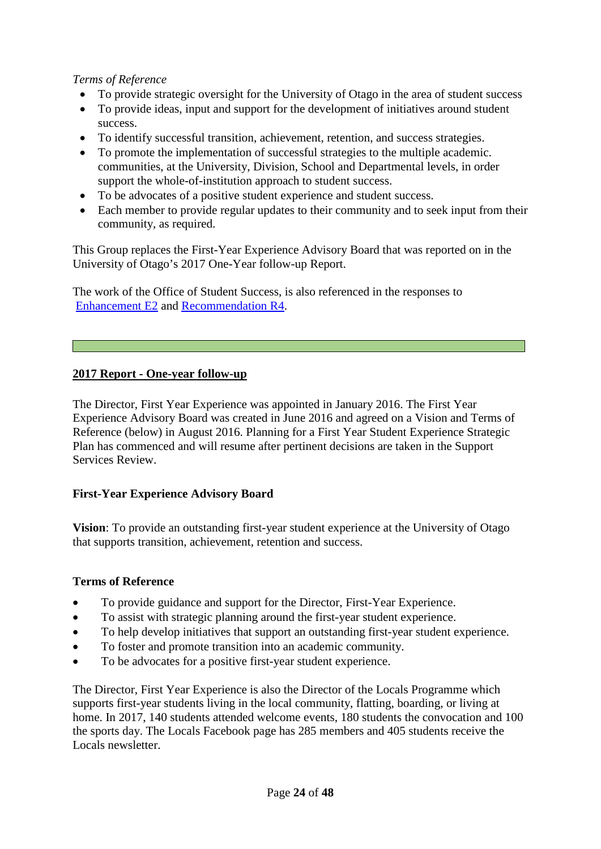### *Terms of Reference*

- To provide strategic oversight for the University of Otago in the area of student success
- To provide ideas, input and support for the development of initiatives around student success.
- To identify successful transition, achievement, retention, and success strategies.
- To promote the implementation of successful strategies to the multiple academic. communities, at the University, Division, School and Departmental levels, in order support the whole-of-institution approach to student success.
- To be advocates of a positive student experience and student success.
- Each member to provide regular updates to their community and to seek input from their community, as required.

This Group replaces the First-Year Experience Advisory Board that was reported on in the University of Otago's 2017 One-Year follow-up Report.

The work of the Office of Student Success, is also referenced in the responses to [Enhancement E2](#page-35-0) and [Recommendation R4.](#page-13-0)

### **2017 Report - One-year follow-up**

The Director, First Year Experience was appointed in January 2016. The First Year Experience Advisory Board was created in June 2016 and agreed on a Vision and Terms of Reference (below) in August 2016. Planning for a First Year Student Experience Strategic Plan has commenced and will resume after pertinent decisions are taken in the Support Services Review.

#### **First-Year Experience Advisory Board**

**Vision**: To provide an outstanding first-year student experience at the University of Otago that supports transition, achievement, retention and success.

#### **Terms of Reference**

- To provide guidance and support for the Director, First-Year Experience.
- To assist with strategic planning around the first-year student experience.
- To help develop initiatives that support an outstanding first-year student experience.
- To foster and promote transition into an academic community.
- To be advocates for a positive first-year student experience.

The Director, First Year Experience is also the Director of the Locals Programme which supports first-year students living in the local community, flatting, boarding, or living at home. In 2017, 140 students attended welcome events, 180 students the convocation and 100 the sports day. The Locals Facebook page has 285 members and 405 students receive the Locals newsletter.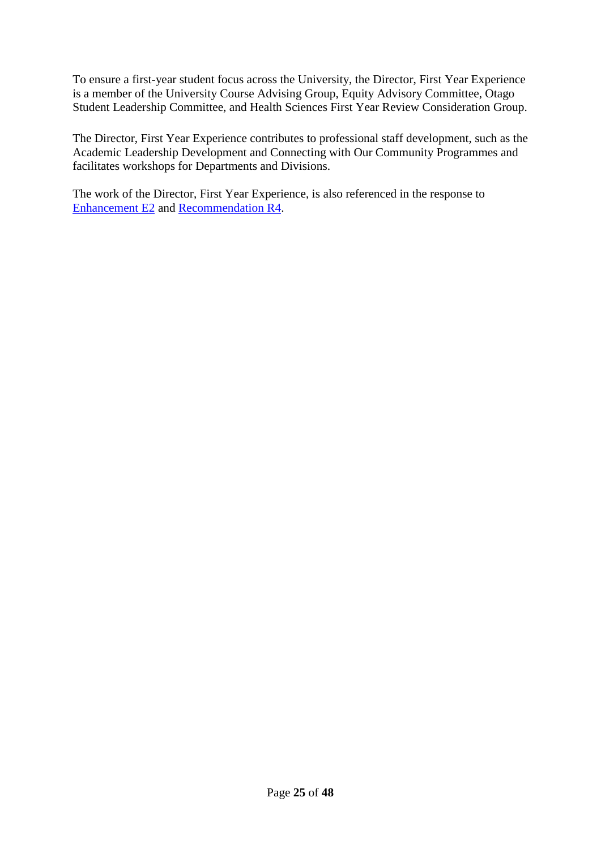To ensure a first-year student focus across the University, the Director, First Year Experience is a member of the University Course Advising Group, Equity Advisory Committee, Otago Student Leadership Committee, and Health Sciences First Year Review Consideration Group.

The Director, First Year Experience contributes to professional staff development, such as the Academic Leadership Development and Connecting with Our Community Programmes and facilitates workshops for Departments and Divisions.

The work of the Director, First Year Experience, is also referenced in the response to [Enhancement E2](#page-35-0) and [Recommendation R4.](#page-13-0)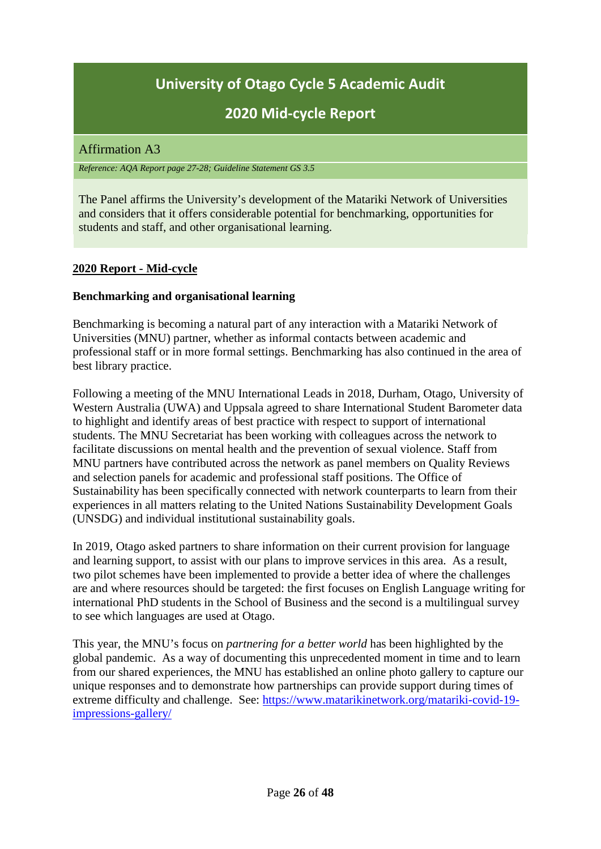# **2020 Mid-cycle Report**

# <span id="page-25-0"></span>Affirmation A3

*Reference: AQA Report page 27-28; Guideline Statement GS 3.5*

The Panel affirms the University's development of the Matariki Network of Universities and considers that it offers considerable potential for benchmarking, opportunities for students and staff, and other organisational learning.

# **2020 Report - Mid-cycle**

### **Benchmarking and organisational learning**

Benchmarking is becoming a natural part of any interaction with a Matariki Network of Universities (MNU) partner, whether as informal contacts between academic and professional staff or in more formal settings. Benchmarking has also continued in the area of best library practice.

Following a meeting of the MNU International Leads in 2018, Durham, Otago, University of Western Australia (UWA) and Uppsala agreed to share International Student Barometer data to highlight and identify areas of best practice with respect to support of international students. The MNU Secretariat has been working with colleagues across the network to facilitate discussions on mental health and the prevention of sexual violence. Staff from MNU partners have contributed across the network as panel members on Quality Reviews and selection panels for academic and professional staff positions. The Office of Sustainability has been specifically connected with network counterparts to learn from their experiences in all matters relating to the United Nations Sustainability Development Goals (UNSDG) and individual institutional sustainability goals.

In 2019, Otago asked partners to share information on their current provision for language and learning support, to assist with our plans to improve services in this area. As a result, two pilot schemes have been implemented to provide a better idea of where the challenges are and where resources should be targeted: the first focuses on English Language writing for international PhD students in the School of Business and the second is a multilingual survey to see which languages are used at Otago.

This year, the MNU's focus on *partnering for a better world* has been highlighted by the global pandemic. As a way of documenting this unprecedented moment in time and to learn from our shared experiences, the MNU has established an online photo gallery to capture our unique responses and to demonstrate how partnerships can provide support during times of extreme difficulty and challenge. See: [https://www.matarikinetwork.org/matariki-covid-19](https://www.matarikinetwork.org/matariki-covid-19-impressions-gallery/) [impressions-gallery/](https://www.matarikinetwork.org/matariki-covid-19-impressions-gallery/)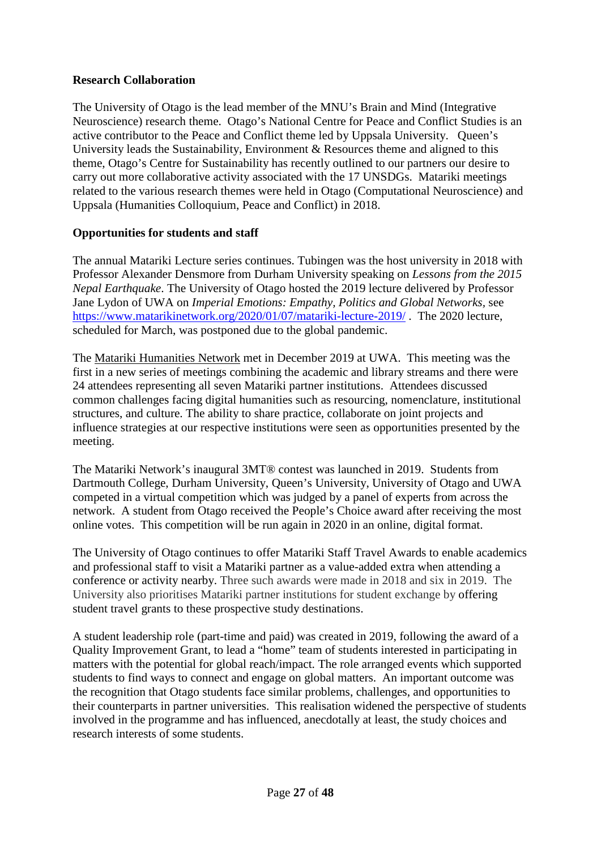### **Research Collaboration**

The University of Otago is the lead member of the MNU's Brain and Mind (Integrative Neuroscience) research theme. Otago's National Centre for Peace and Conflict Studies is an active contributor to the Peace and Conflict theme led by Uppsala University. Queen's University leads the Sustainability, Environment & Resources theme and aligned to this theme, Otago's Centre for Sustainability has recently outlined to our partners our desire to carry out more collaborative activity associated with the 17 UNSDGs. Matariki meetings related to the various research themes were held in Otago (Computational Neuroscience) and Uppsala (Humanities Colloquium, Peace and Conflict) in 2018.

### **Opportunities for students and staff**

The annual Matariki Lecture series continues. Tubingen was the host university in 2018 with Professor Alexander Densmore from Durham University speaking on *Lessons from the 2015 Nepal Earthquake*. The University of Otago hosted the 2019 lecture delivered by Professor Jane Lydon of UWA on *Imperial Emotions: Empathy, Politics and Global Networks,* see <https://www.matarikinetwork.org/2020/01/07/matariki-lecture-2019/> . The 2020 lecture, scheduled for March, was postponed due to the global pandemic.

The Matariki Humanities Network met in December 2019 at UWA. This meeting was the first in a new series of meetings combining the academic and library streams and there were 24 attendees representing all seven Matariki partner institutions. Attendees discussed common challenges facing digital humanities such as resourcing, nomenclature, institutional structures, and culture. The ability to share practice, collaborate on joint projects and influence strategies at our respective institutions were seen as opportunities presented by the meeting.

The Matariki Network's inaugural 3MT® contest was launched in 2019. Students from Dartmouth College, Durham University, Queen's University, University of Otago and UWA competed in a virtual competition which was judged by a panel of experts from across the network. A student from Otago received the People's Choice award after receiving the most online votes. This competition will be run again in 2020 in an online, digital format.

The University of Otago continues to offer Matariki Staff Travel Awards to enable academics and professional staff to visit a Matariki partner as a value-added extra when attending a conference or activity nearby. Three such awards were made in 2018 and six in 2019. The University also prioritises Matariki partner institutions for student exchange by offering student travel grants to these prospective study destinations.

A student leadership role (part-time and paid) was created in 2019, following the award of a Quality Improvement Grant, to lead a "home" team of students interested in participating in matters with the potential for global reach/impact. The role arranged events which supported students to find ways to connect and engage on global matters. An important outcome was the recognition that Otago students face similar problems, challenges, and opportunities to their counterparts in partner universities. This realisation widened the perspective of students involved in the programme and has influenced, anecdotally at least, the study choices and research interests of some students.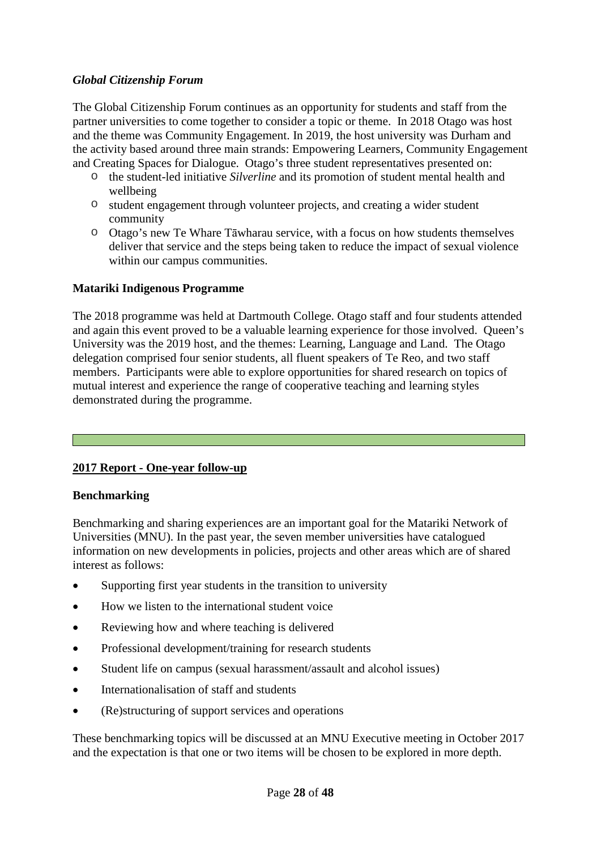#### *Global Citizenship Forum*

The Global Citizenship Forum continues as an opportunity for students and staff from the partner universities to come together to consider a topic or theme. In 2018 Otago was host and the theme was Community Engagement. In 2019, the host university was Durham and the activity based around three main strands: Empowering Learners, Community Engagement and Creating Spaces for Dialogue. Otago's three student representatives presented on:

- o the student-led initiative *Silverline* and its promotion of student mental health and wellbeing
- o student engagement through volunteer projects, and creating a wider student community
- o Otago's new Te Whare Tāwharau service, with a focus on how students themselves deliver that service and the steps being taken to reduce the impact of sexual violence within our campus communities.

### **Matariki Indigenous Programme**

The 2018 programme was held at Dartmouth College. Otago staff and four students attended and again this event proved to be a valuable learning experience for those involved. Queen's University was the 2019 host, and the themes: Learning, Language and Land. The Otago delegation comprised four senior students, all fluent speakers of Te Reo, and two staff members. Participants were able to explore opportunities for shared research on topics of mutual interest and experience the range of cooperative teaching and learning styles demonstrated during the programme.

# **2017 Report - One-year follow-up**

#### **Benchmarking**

Benchmarking and sharing experiences are an important goal for the Matariki Network of Universities (MNU). In the past year, the seven member universities have catalogued information on new developments in policies, projects and other areas which are of shared interest as follows:

- Supporting first year students in the transition to university
- How we listen to the international student voice
- Reviewing how and where teaching is delivered
- Professional development/training for research students
- Student life on campus (sexual harassment/assault and alcohol issues)
- Internationalisation of staff and students
- (Re)structuring of support services and operations

These benchmarking topics will be discussed at an MNU Executive meeting in October 2017 and the expectation is that one or two items will be chosen to be explored in more depth.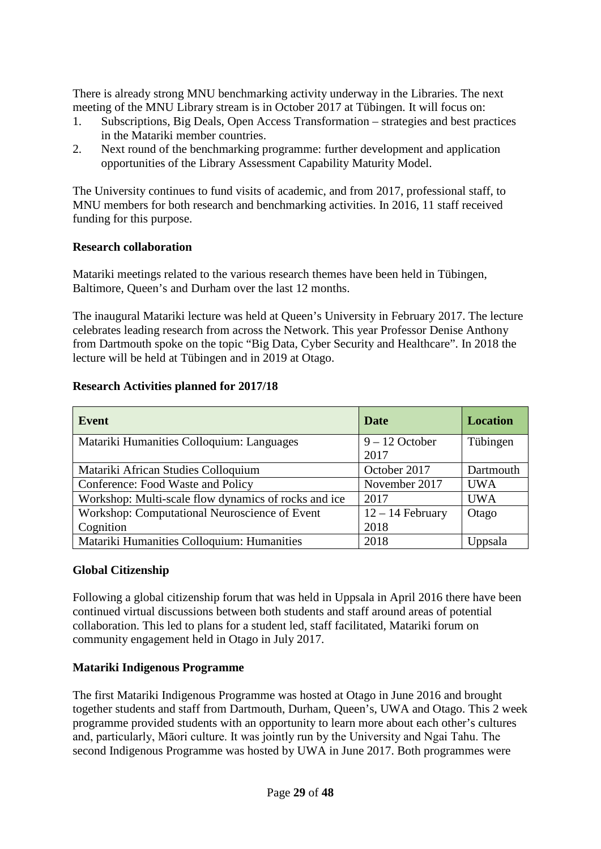There is already strong MNU benchmarking activity underway in the Libraries. The next meeting of the MNU Library stream is in October 2017 at Tübingen. It will focus on:

- 1. Subscriptions, Big Deals, Open Access Transformation strategies and best practices in the Matariki member countries.
- 2. Next round of the benchmarking programme: further development and application opportunities of the Library Assessment Capability Maturity Model.

The University continues to fund visits of academic, and from 2017, professional staff, to MNU members for both research and benchmarking activities. In 2016, 11 staff received funding for this purpose.

### **Research collaboration**

Matariki meetings related to the various research themes have been held in Tübingen, Baltimore, Queen's and Durham over the last 12 months.

The inaugural Matariki lecture was held at Queen's University in February 2017. The lecture celebrates leading research from across the Network. This year Professor Denise Anthony from Dartmouth spoke on the topic "Big Data, Cyber Security and Healthcare". In 2018 the lecture will be held at Tübingen and in 2019 at Otago.

### **Research Activities planned for 2017/18**

| <b>Event</b>                                         | Date               | <b>Location</b> |
|------------------------------------------------------|--------------------|-----------------|
| Matariki Humanities Colloquium: Languages            | $9 - 12$ October   | Tübingen        |
|                                                      | 2017               |                 |
| Matariki African Studies Colloquium                  | October 2017       | Dartmouth       |
| Conference: Food Waste and Policy                    | November 2017      | <b>UWA</b>      |
| Workshop: Multi-scale flow dynamics of rocks and ice | 2017               | <b>UWA</b>      |
| Workshop: Computational Neuroscience of Event        | $12 - 14$ February | Otago           |
| Cognition                                            | 2018               |                 |
| Matariki Humanities Colloquium: Humanities           | 2018               | Uppsala         |

#### **Global Citizenship**

Following a global citizenship forum that was held in Uppsala in April 2016 there have been continued virtual discussions between both students and staff around areas of potential collaboration. This led to plans for a student led, staff facilitated, Matariki forum on community engagement held in Otago in July 2017.

#### **Matariki Indigenous Programme**

The first Matariki Indigenous Programme was hosted at Otago in June 2016 and brought together students and staff from Dartmouth, Durham, Queen's, UWA and Otago. This 2 week programme provided students with an opportunity to learn more about each other's cultures and, particularly, Māori culture. It was jointly run by the University and Ngai Tahu. The second Indigenous Programme was hosted by UWA in June 2017. Both programmes were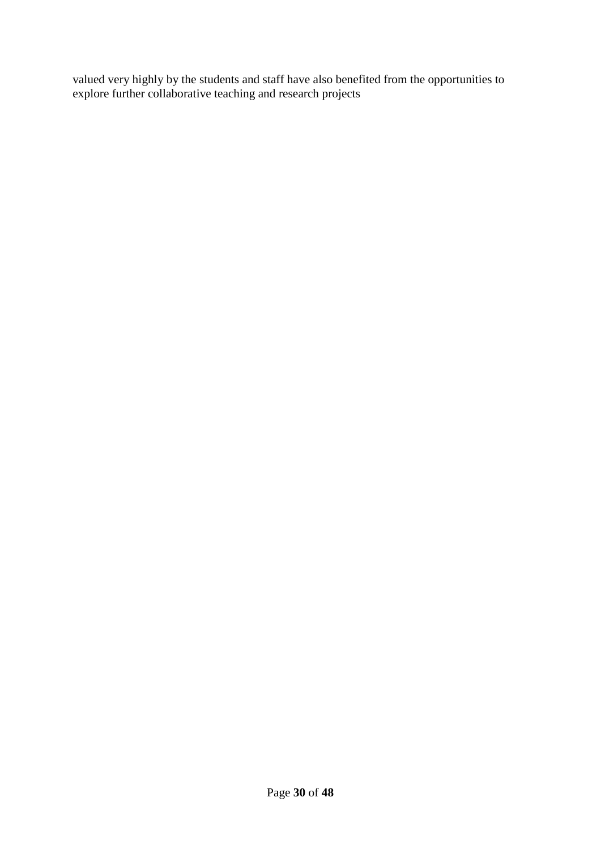valued very highly by the students and staff have also benefited from the opportunities to explore further collaborative teaching and research projects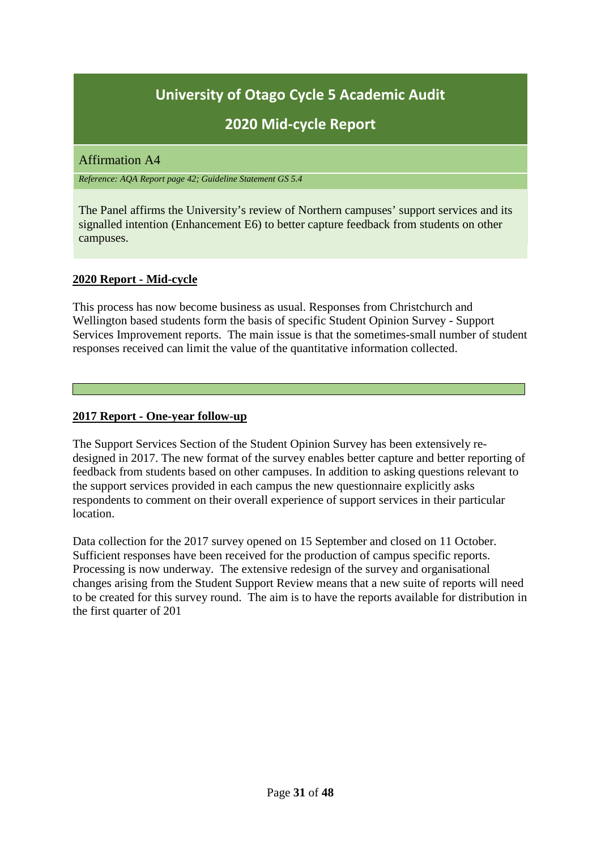# **2020 Mid-cycle Report**

### <span id="page-30-0"></span>Affirmation A4

*Reference: AQA Report page 42; Guideline Statement GS 5.4*

The Panel affirms the University's review of Northern campuses' support services and its signalled intention (Enhancement E6) to better capture feedback from students on other campuses.

### **2020 Report - Mid-cycle**

This process has now become business as usual. Responses from Christchurch and Wellington based students form the basis of specific Student Opinion Survey - Support Services Improvement reports. The main issue is that the sometimes-small number of student responses received can limit the value of the quantitative information collected.

#### **2017 Report - One-year follow-up**

The Support Services Section of the Student Opinion Survey has been extensively redesigned in 2017. The new format of the survey enables better capture and better reporting of feedback from students based on other campuses. In addition to asking questions relevant to the support services provided in each campus the new questionnaire explicitly asks respondents to comment on their overall experience of support services in their particular location.

Data collection for the 2017 survey opened on 15 September and closed on 11 October. Sufficient responses have been received for the production of campus specific reports. Processing is now underway. The extensive redesign of the survey and organisational changes arising from the Student Support Review means that a new suite of reports will need to be created for this survey round. The aim is to have the reports available for distribution in the first quarter of 201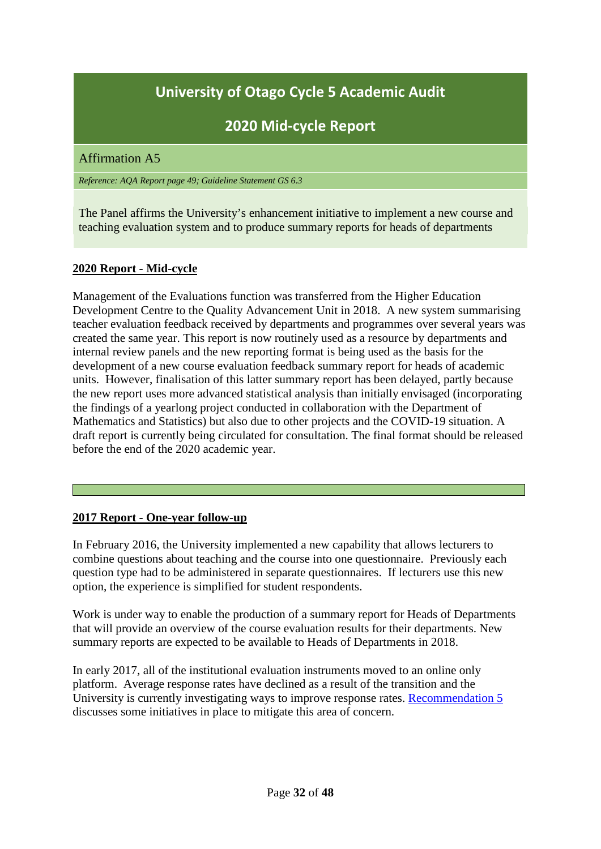# **2020 Mid-cycle Report**

#### <span id="page-31-0"></span>Affirmation A5

#### *Reference: AQA Report page 49; Guideline Statement GS 6.3*

The Panel affirms the University's enhancement initiative to implement a new course and teaching evaluation system and to produce summary reports for heads of departments

#### **2020 Report - Mid-cycle**

Management of the Evaluations function was transferred from the Higher Education Development Centre to the Quality Advancement Unit in 2018. A new system summarising teacher evaluation feedback received by departments and programmes over several years was created the same year. This report is now routinely used as a resource by departments and internal review panels and the new reporting format is being used as the basis for the development of a new course evaluation feedback summary report for heads of academic units. However, finalisation of this latter summary report has been delayed, partly because the new report uses more advanced statistical analysis than initially envisaged (incorporating the findings of a yearlong project conducted in collaboration with the Department of Mathematics and Statistics) but also due to other projects and the COVID-19 situation. A draft report is currently being circulated for consultation. The final format should be released before the end of the 2020 academic year.

#### **2017 Report - One-year follow-up**

In February 2016, the University implemented a new capability that allows lecturers to combine questions about teaching and the course into one questionnaire. Previously each question type had to be administered in separate questionnaires. If lecturers use this new option, the experience is simplified for student respondents.

Work is under way to enable the production of a summary report for Heads of Departments that will provide an overview of the course evaluation results for their departments. New summary reports are expected to be available to Heads of Departments in 2018.

In early 2017, all of the institutional evaluation instruments moved to an online only platform. Average response rates have declined as a result of the transition and the University is currently investigating ways to improve response rates. [Recommendation 5](#page-16-0) discusses some initiatives in place to mitigate this area of concern.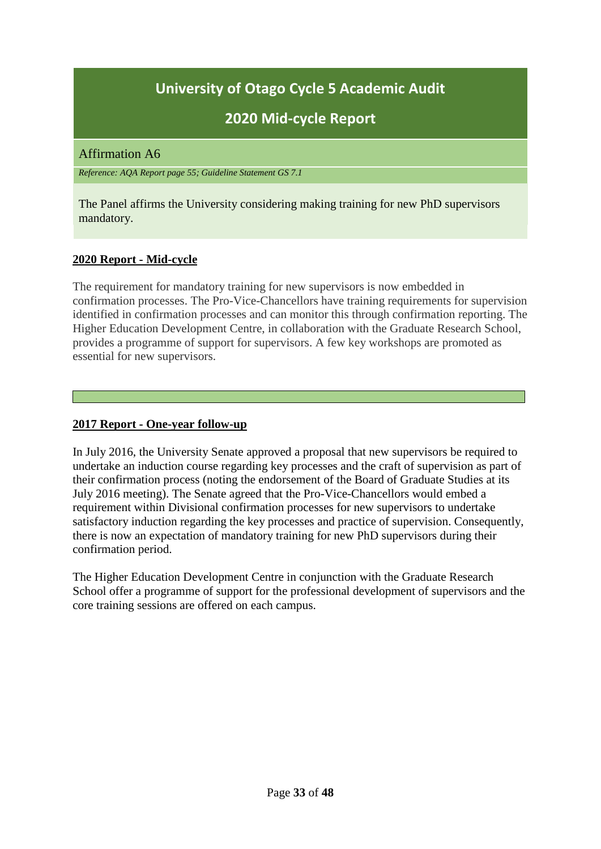# **2020 Mid-cycle Report**

#### <span id="page-32-0"></span>Affirmation A6

*Reference: AQA Report page 55; Guideline Statement GS 7.1*

The Panel affirms the University considering making training for new PhD supervisors mandatory.

# **2020 Report - Mid-cycle**

The requirement for mandatory training for new supervisors is now embedded in confirmation processes. The Pro-Vice-Chancellors have training requirements for supervision identified in confirmation processes and can monitor this through confirmation reporting. The Higher Education Development Centre, in collaboration with the Graduate Research School, provides a programme of support for supervisors. A few key workshops are promoted as essential for new supervisors.

### **2017 Report - One-year follow-up**

In July 2016, the University Senate approved a proposal that new supervisors be required to undertake an induction course regarding key processes and the craft of supervision as part of their confirmation process (noting the endorsement of the Board of Graduate Studies at its July 2016 meeting). The Senate agreed that the Pro-Vice-Chancellors would embed a requirement within Divisional confirmation processes for new supervisors to undertake satisfactory induction regarding the key processes and practice of supervision. Consequently, there is now an expectation of mandatory training for new PhD supervisors during their confirmation period.

The Higher Education Development Centre in conjunction with the Graduate Research School offer a programme of support for the professional development of supervisors and the core training sessions are offered on each campus.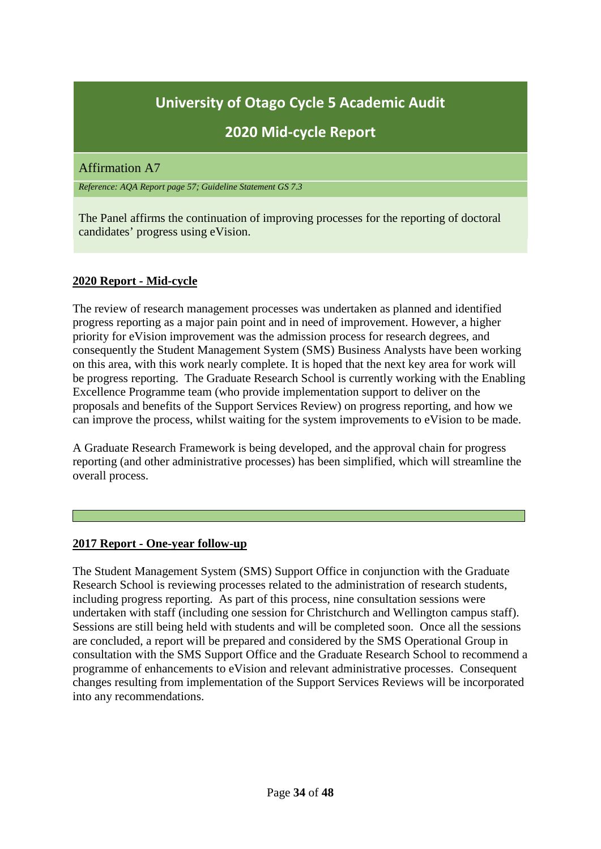# **2020 Mid-cycle Report**

### <span id="page-33-0"></span>Affirmation A7

*Reference: AQA Report page 57; Guideline Statement GS 7.3*

The Panel affirms the continuation of improving processes for the reporting of doctoral candidates' progress using eVision.

### **2020 Report - Mid-cycle**

The review of research management processes was undertaken as planned and identified progress reporting as a major pain point and in need of improvement. However, a higher priority for eVision improvement was the admission process for research degrees, and consequently the Student Management System (SMS) Business Analysts have been working on this area, with this work nearly complete. It is hoped that the next key area for work will be progress reporting. The Graduate Research School is currently working with the Enabling Excellence Programme team (who provide implementation support to deliver on the proposals and benefits of the Support Services Review) on progress reporting, and how we can improve the process, whilst waiting for the system improvements to eVision to be made.

A Graduate Research Framework is being developed, and the approval chain for progress reporting (and other administrative processes) has been simplified, which will streamline the overall process.

#### **2017 Report - One-year follow-up**

The Student Management System (SMS) Support Office in conjunction with the Graduate Research School is reviewing processes related to the administration of research students, including progress reporting. As part of this process, nine consultation sessions were undertaken with staff (including one session for Christchurch and Wellington campus staff). Sessions are still being held with students and will be completed soon. Once all the sessions are concluded, a report will be prepared and considered by the SMS Operational Group in consultation with the SMS Support Office and the Graduate Research School to recommend a programme of enhancements to eVision and relevant administrative processes. Consequent changes resulting from implementation of the Support Services Reviews will be incorporated into any recommendations.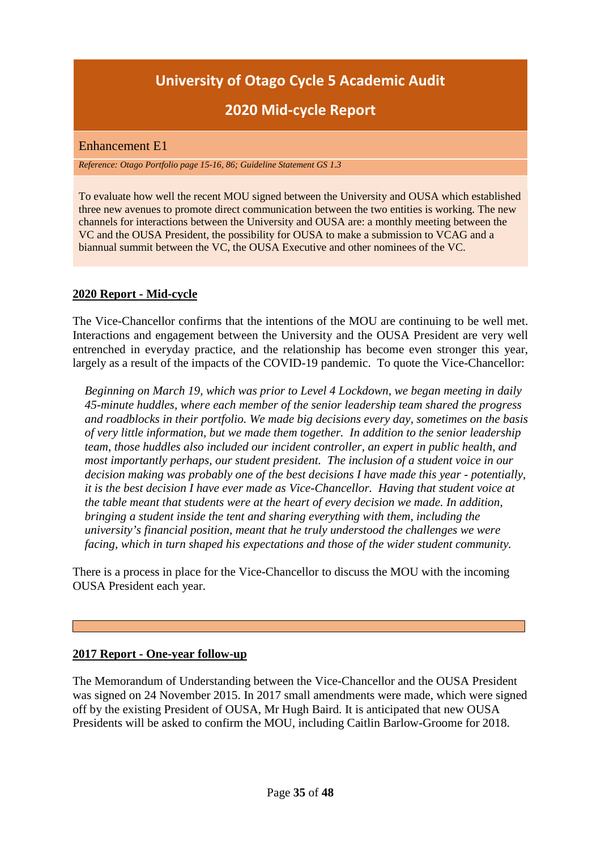# **2020 Mid-cycle Report**

#### <span id="page-34-0"></span>Enhancement E1

*Reference: Otago Portfolio page 15-16, 86; Guideline Statement GS 1.3*

To evaluate how well the recent MOU signed between the University and OUSA which established three new avenues to promote direct communication between the two entities is working. The new channels for interactions between the University and OUSA are: a monthly meeting between the VC and the OUSA President, the possibility for OUSA to make a submission to VCAG and a biannual summit between the VC, the OUSA Executive and other nominees of the VC.

#### **2020 Report - Mid-cycle**

The Vice-Chancellor confirms that the intentions of the MOU are continuing to be well met. Interactions and engagement between the University and the OUSA President are very well entrenched in everyday practice, and the relationship has become even stronger this year, largely as a result of the impacts of the COVID-19 pandemic. To quote the Vice-Chancellor:

 *Beginning on March 19, which was prior to Level 4 Lockdown, we began meeting in daily 45-minute huddles, where each member of the senior leadership team shared the progress and roadblocks in their portfolio. We made big decisions every day, sometimes on the basis of very little information, but we made them together. In addition to the senior leadership team, those huddles also included our incident controller, an expert in public health, and most importantly perhaps, our student president. The inclusion of a student voice in our decision making was probably one of the best decisions I have made this year - potentially, it is the best decision I have ever made as Vice-Chancellor. Having that student voice at the table meant that students were at the heart of every decision we made. In addition, bringing a student inside the tent and sharing everything with them, including the university's financial position, meant that he truly understood the challenges we were facing, which in turn shaped his expectations and those of the wider student community.*

There is a process in place for the Vice-Chancellor to discuss the MOU with the incoming OUSA President each year.

#### **2017 Report - One-year follow-up**

The Memorandum of Understanding between the Vice-Chancellor and the OUSA President was signed on 24 November 2015. In 2017 small amendments were made, which were signed off by the existing President of OUSA, Mr Hugh Baird. It is anticipated that new OUSA Presidents will be asked to confirm the MOU, including Caitlin Barlow-Groome for 2018.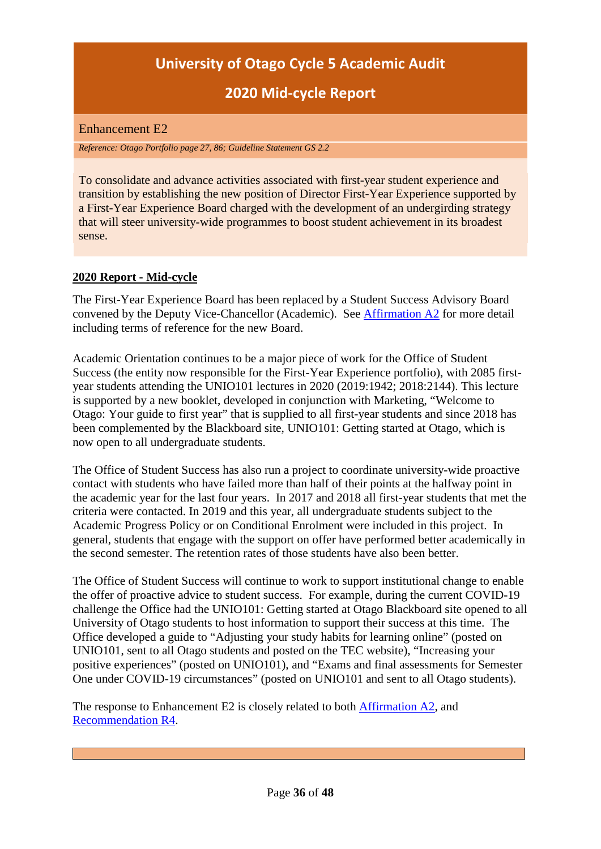# **2020 Mid-cycle Report**

### <span id="page-35-0"></span>Enhancement E2

*Reference: Otago Portfolio page 27, 86; Guideline Statement GS 2.2*

To consolidate and advance activities associated with first-year student experience and transition by establishing the new position of Director First-Year Experience supported by a First-Year Experience Board charged with the development of an undergirding strategy that will steer university-wide programmes to boost student achievement in its broadest sense.

### **2020 Report - Mid-cycle**

The First-Year Experience Board has been replaced by a Student Success Advisory Board convened by the Deputy Vice-Chancellor (Academic). See [Affirmation A2](#page-22-0) for more detail including terms of reference for the new Board.

Academic Orientation continues to be a major piece of work for the Office of Student Success (the entity now responsible for the First-Year Experience portfolio), with 2085 firstyear students attending the UNIO101 lectures in 2020 (2019:1942; 2018:2144). This lecture is supported by a new booklet, developed in conjunction with Marketing, "Welcome to Otago: Your guide to first year" that is supplied to all first-year students and since 2018 has been complemented by the Blackboard site, UNIO101: Getting started at Otago, which is now open to all undergraduate students.

The Office of Student Success has also run a project to coordinate university-wide proactive contact with students who have failed more than half of their points at the halfway point in the academic year for the last four years. In 2017 and 2018 all first-year students that met the criteria were contacted. In 2019 and this year, all undergraduate students subject to the Academic Progress Policy or on Conditional Enrolment were included in this project. In general, students that engage with the support on offer have performed better academically in the second semester. The retention rates of those students have also been better.

The Office of Student Success will continue to work to support institutional change to enable the offer of proactive advice to student success. For example, during the current COVID-19 challenge the Office had the UNIO101: Getting started at Otago Blackboard site opened to all University of Otago students to host information to support their success at this time. The Office developed a guide to "Adjusting your study habits for learning online" (posted on UNIO101, sent to all Otago students and posted on the TEC website), "Increasing your positive experiences" (posted on UNIO101), and "Exams and final assessments for Semester One under COVID-19 circumstances" (posted on UNIO101 and sent to all Otago students).

The response to Enhancement E2 is closely related to both [Affirmation A2,](#page-22-0) and [Recommendation R4.](#page-13-0)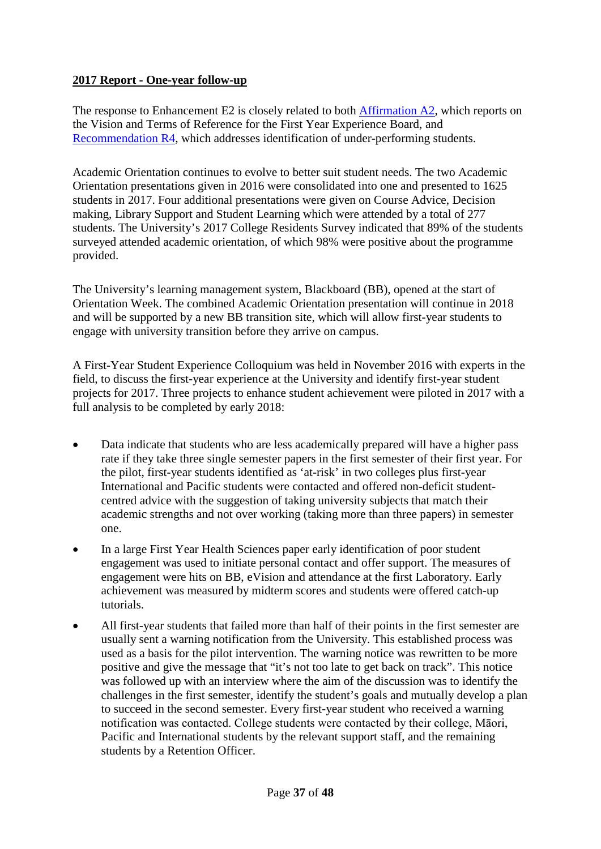### **2017 Report - One-year follow-up**

The response to Enhancement E2 is closely related to both [Affirmation A2,](#page-22-0) which reports on the Vision and Terms of Reference for the First Year Experience Board, and [Recommendation R4,](#page-13-0) which addresses identification of under-performing students.

Academic Orientation continues to evolve to better suit student needs. The two Academic Orientation presentations given in 2016 were consolidated into one and presented to 1625 students in 2017. Four additional presentations were given on Course Advice, Decision making, Library Support and Student Learning which were attended by a total of 277 students. The University's 2017 College Residents Survey indicated that 89% of the students surveyed attended academic orientation, of which 98% were positive about the programme provided.

The University's learning management system, Blackboard (BB), opened at the start of Orientation Week. The combined Academic Orientation presentation will continue in 2018 and will be supported by a new BB transition site, which will allow first-year students to engage with university transition before they arrive on campus.

A First-Year Student Experience Colloquium was held in November 2016 with experts in the field, to discuss the first-year experience at the University and identify first-year student projects for 2017. Three projects to enhance student achievement were piloted in 2017 with a full analysis to be completed by early 2018:

- Data indicate that students who are less academically prepared will have a higher pass rate if they take three single semester papers in the first semester of their first year. For the pilot, first-year students identified as 'at-risk' in two colleges plus first-year International and Pacific students were contacted and offered non-deficit studentcentred advice with the suggestion of taking university subjects that match their academic strengths and not over working (taking more than three papers) in semester one.
- In a large First Year Health Sciences paper early identification of poor student engagement was used to initiate personal contact and offer support. The measures of engagement were hits on BB, eVision and attendance at the first Laboratory. Early achievement was measured by midterm scores and students were offered catch-up tutorials.
- All first-year students that failed more than half of their points in the first semester are usually sent a warning notification from the University. This established process was used as a basis for the pilot intervention. The warning notice was rewritten to be more positive and give the message that "it's not too late to get back on track". This notice was followed up with an interview where the aim of the discussion was to identify the challenges in the first semester, identify the student's goals and mutually develop a plan to succeed in the second semester. Every first-year student who received a warning notification was contacted. College students were contacted by their college, Māori, Pacific and International students by the relevant support staff, and the remaining students by a Retention Officer.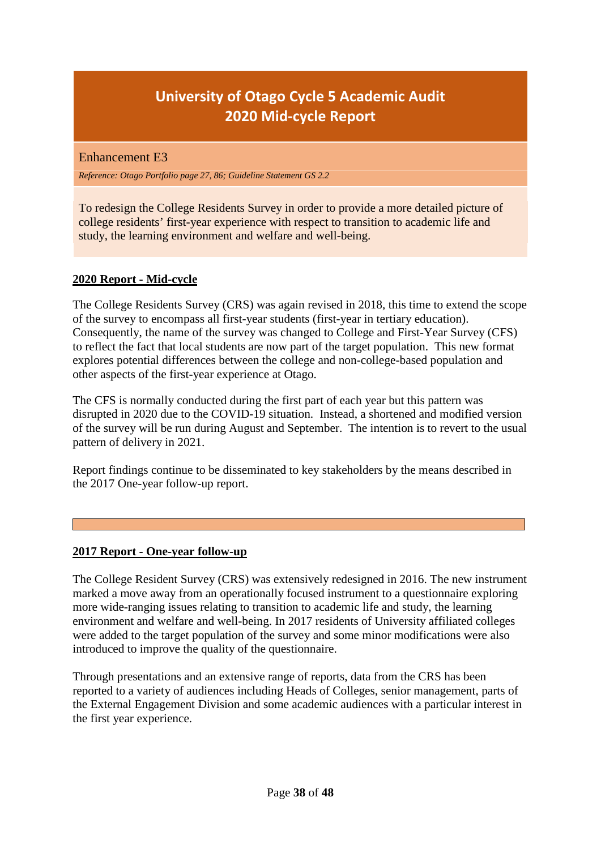# **University of Otago Cycle 5 Academic Audit 2020 Mid-cycle Report**

<span id="page-37-0"></span>Enhancement E3

*Reference: Otago Portfolio page 27, 86; Guideline Statement GS 2.2*

To redesign the College Residents Survey in order to provide a more detailed picture of college residents' first-year experience with respect to transition to academic life and study, the learning environment and welfare and well-being.

### **2020 Report - Mid-cycle**

The College Residents Survey (CRS) was again revised in 2018, this time to extend the scope of the survey to encompass all first-year students (first-year in tertiary education). Consequently, the name of the survey was changed to College and First-Year Survey (CFS) to reflect the fact that local students are now part of the target population. This new format explores potential differences between the college and non-college-based population and other aspects of the first-year experience at Otago.

The CFS is normally conducted during the first part of each year but this pattern was disrupted in 2020 due to the COVID-19 situation. Instead, a shortened and modified version of the survey will be run during August and September. The intention is to revert to the usual pattern of delivery in 2021.

Report findings continue to be disseminated to key stakeholders by the means described in the 2017 One-year follow-up report.

# **2017 Report - One-year follow-up**

The College Resident Survey (CRS) was extensively redesigned in 2016. The new instrument marked a move away from an operationally focused instrument to a questionnaire exploring more wide-ranging issues relating to transition to academic life and study, the learning environment and welfare and well-being. In 2017 residents of University affiliated colleges were added to the target population of the survey and some minor modifications were also introduced to improve the quality of the questionnaire.

Through presentations and an extensive range of reports, data from the CRS has been reported to a variety of audiences including Heads of Colleges, senior management, parts of the External Engagement Division and some academic audiences with a particular interest in the first year experience.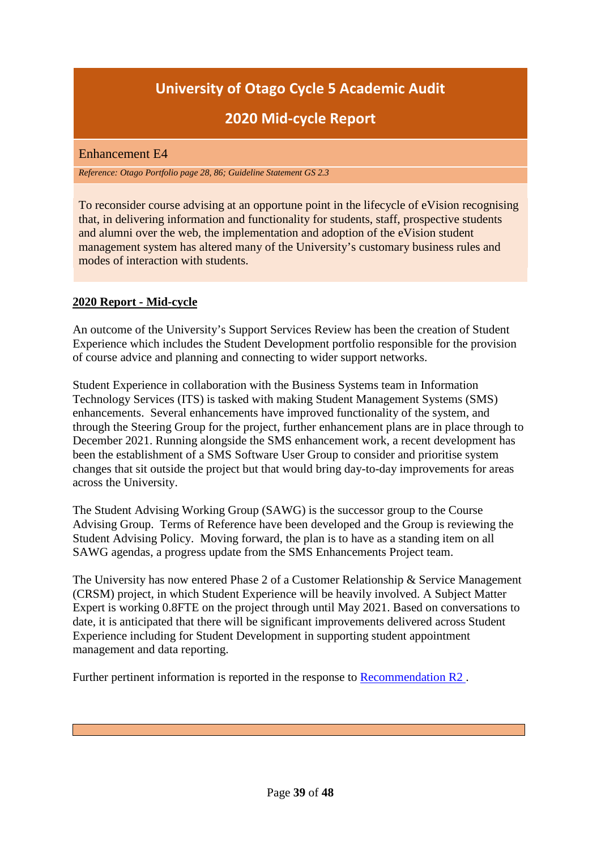# **2020 Mid-cycle Report**

#### <span id="page-38-0"></span>Enhancement E4

*Reference: Otago Portfolio page 28, 86; Guideline Statement GS 2.3*

To reconsider course advising at an opportune point in the lifecycle of eVision recognising that, in delivering information and functionality for students, staff, prospective students and alumni over the web, the implementation and adoption of the eVision student management system has altered many of the University's customary business rules and modes of interaction with students.

### **2020 Report - Mid-cycle**

An outcome of the University's Support Services Review has been the creation of Student Experience which includes the Student Development portfolio responsible for the provision of course advice and planning and connecting to wider support networks.

Student Experience in collaboration with the Business Systems team in Information Technology Services (ITS) is tasked with making Student Management Systems (SMS) enhancements. Several enhancements have improved functionality of the system, and through the Steering Group for the project, further enhancement plans are in place through to December 2021. Running alongside the SMS enhancement work, a recent development has been the establishment of a SMS Software User Group to consider and prioritise system changes that sit outside the project but that would bring day-to-day improvements for areas across the University.

The Student Advising Working Group (SAWG) is the successor group to the Course Advising Group. Terms of Reference have been developed and the Group is reviewing the Student Advising Policy. Moving forward, the plan is to have as a standing item on all SAWG agendas, a progress update from the SMS Enhancements Project team.

The University has now entered Phase 2 of a Customer Relationship & Service Management (CRSM) project, in which Student Experience will be heavily involved. A Subject Matter Expert is working 0.8FTE on the project through until May 2021. Based on conversations to date, it is anticipated that there will be significant improvements delivered across Student Experience including for Student Development in supporting student appointment management and data reporting.

Further pertinent information is reported in the response to [Recommendation R2](#page-7-0) .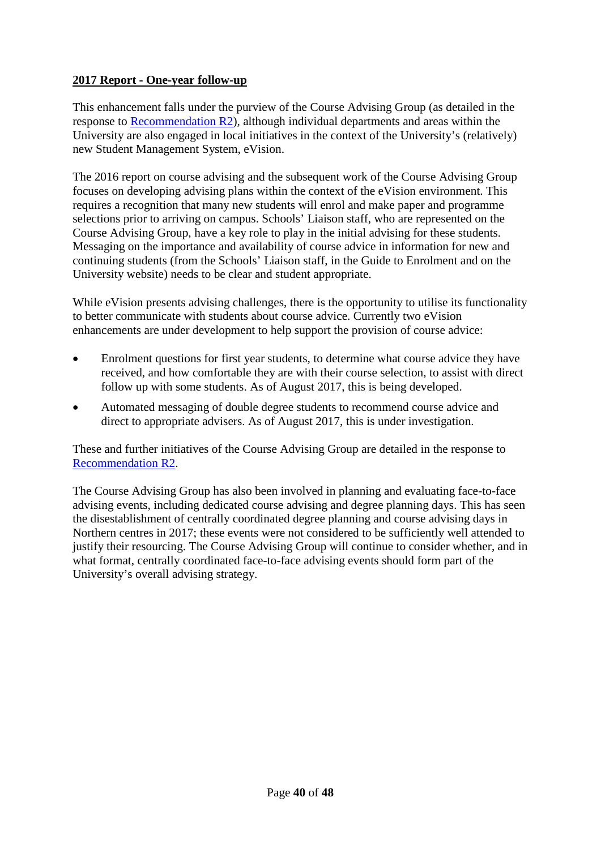### **2017 Report - One-year follow-up**

This enhancement falls under the purview of the Course Advising Group (as detailed in the response to [Recommendation R2\)](#page-7-0), although individual departments and areas within the University are also engaged in local initiatives in the context of the University's (relatively) new Student Management System, eVision.

The 2016 report on course advising and the subsequent work of the Course Advising Group focuses on developing advising plans within the context of the eVision environment. This requires a recognition that many new students will enrol and make paper and programme selections prior to arriving on campus. Schools' Liaison staff, who are represented on the Course Advising Group, have a key role to play in the initial advising for these students. Messaging on the importance and availability of course advice in information for new and continuing students (from the Schools' Liaison staff, in the Guide to Enrolment and on the University website) needs to be clear and student appropriate.

While eVision presents advising challenges, there is the opportunity to utilise its functionality to better communicate with students about course advice. Currently two eVision enhancements are under development to help support the provision of course advice:

- Enrolment questions for first year students, to determine what course advice they have received, and how comfortable they are with their course selection, to assist with direct follow up with some students. As of August 2017, this is being developed.
- Automated messaging of double degree students to recommend course advice and direct to appropriate advisers. As of August 2017, this is under investigation.

These and further initiatives of the Course Advising Group are detailed in the response to [Recommendation R2.](#page-7-0)

The Course Advising Group has also been involved in planning and evaluating face-to-face advising events, including dedicated course advising and degree planning days. This has seen the disestablishment of centrally coordinated degree planning and course advising days in Northern centres in 2017; these events were not considered to be sufficiently well attended to justify their resourcing. The Course Advising Group will continue to consider whether, and in what format, centrally coordinated face-to-face advising events should form part of the University's overall advising strategy.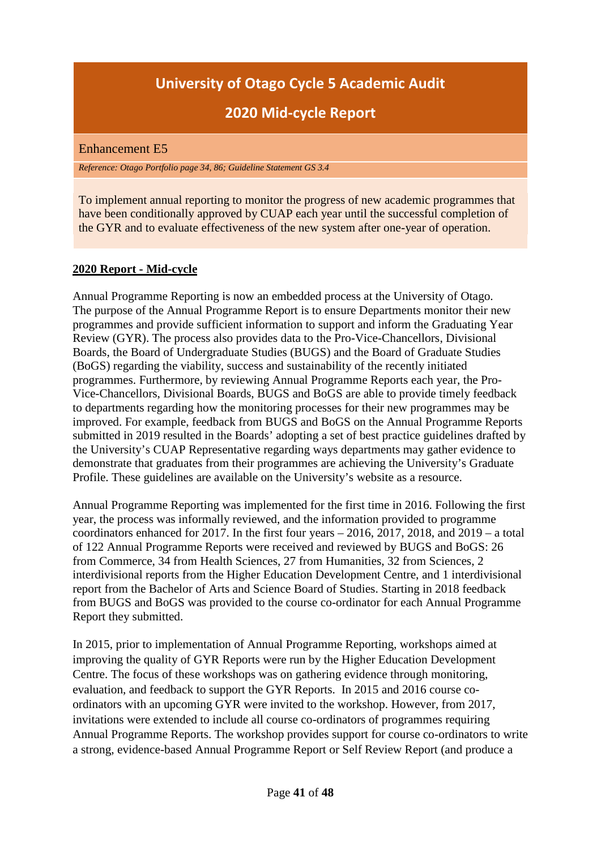# **2020 Mid-cycle Report**

#### <span id="page-40-0"></span>Enhancement E5

*Reference: Otago Portfolio page 34, 86; Guideline Statement GS 3.4*

To implement annual reporting to monitor the progress of new academic programmes that have been conditionally approved by CUAP each year until the successful completion of the GYR and to evaluate effectiveness of the new system after one-year of operation.

# **2020 Report - Mid-cycle**

Annual Programme Reporting is now an embedded process at the University of Otago. The purpose of the Annual Programme Report is to ensure Departments monitor their new programmes and provide sufficient information to support and inform the Graduating Year Review (GYR). The process also provides data to the Pro-Vice-Chancellors, Divisional Boards, the Board of Undergraduate Studies (BUGS) and the Board of Graduate Studies (BoGS) regarding the viability, success and sustainability of the recently initiated programmes. Furthermore, by reviewing Annual Programme Reports each year, the Pro-Vice-Chancellors, Divisional Boards, BUGS and BoGS are able to provide timely feedback to departments regarding how the monitoring processes for their new programmes may be improved. For example, feedback from BUGS and BoGS on the Annual Programme Reports submitted in 2019 resulted in the Boards' adopting a set of best practice guidelines drafted by the University's CUAP Representative regarding ways departments may gather evidence to demonstrate that graduates from their programmes are achieving the University's Graduate Profile. These guidelines are available on the University's website as a resource.

Annual Programme Reporting was implemented for the first time in 2016. Following the first year, the process was informally reviewed, and the information provided to programme coordinators enhanced for 2017. In the first four years – 2016, 2017, 2018, and 2019 – a total of 122 Annual Programme Reports were received and reviewed by BUGS and BoGS: 26 from Commerce, 34 from Health Sciences, 27 from Humanities, 32 from Sciences, 2 interdivisional reports from the Higher Education Development Centre, and 1 interdivisional report from the Bachelor of Arts and Science Board of Studies. Starting in 2018 feedback from BUGS and BoGS was provided to the course co-ordinator for each Annual Programme Report they submitted.

In 2015, prior to implementation of Annual Programme Reporting, workshops aimed at improving the quality of GYR Reports were run by the Higher Education Development Centre. The focus of these workshops was on gathering evidence through monitoring, evaluation, and feedback to support the GYR Reports. In 2015 and 2016 course coordinators with an upcoming GYR were invited to the workshop. However, from 2017, invitations were extended to include all course co-ordinators of programmes requiring Annual Programme Reports. The workshop provides support for course co-ordinators to write a strong, evidence-based Annual Programme Report or Self Review Report (and produce a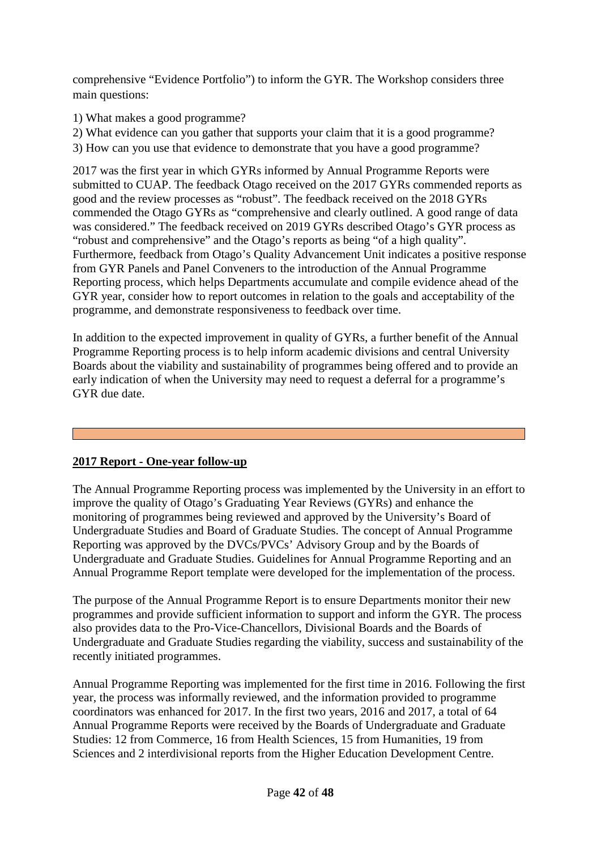comprehensive "Evidence Portfolio") to inform the GYR. The Workshop considers three main questions:

1) What makes a good programme?

2) What evidence can you gather that supports your claim that it is a good programme? 3) How can you use that evidence to demonstrate that you have a good programme?

2017 was the first year in which GYRs informed by Annual Programme Reports were submitted to CUAP. The feedback Otago received on the 2017 GYRs commended reports as good and the review processes as "robust". The feedback received on the 2018 GYRs commended the Otago GYRs as "comprehensive and clearly outlined. A good range of data was considered." The feedback received on 2019 GYRs described Otago's GYR process as "robust and comprehensive" and the Otago's reports as being "of a high quality". Furthermore, feedback from Otago's Quality Advancement Unit indicates a positive response from GYR Panels and Panel Conveners to the introduction of the Annual Programme Reporting process, which helps Departments accumulate and compile evidence ahead of the GYR year, consider how to report outcomes in relation to the goals and acceptability of the programme, and demonstrate responsiveness to feedback over time.

In addition to the expected improvement in quality of GYRs, a further benefit of the Annual Programme Reporting process is to help inform academic divisions and central University Boards about the viability and sustainability of programmes being offered and to provide an early indication of when the University may need to request a deferral for a programme's GYR due date.

# **2017 Report - One-year follow-up**

The Annual Programme Reporting process was implemented by the University in an effort to improve the quality of Otago's Graduating Year Reviews (GYRs) and enhance the monitoring of programmes being reviewed and approved by the University's Board of Undergraduate Studies and Board of Graduate Studies. The concept of Annual Programme Reporting was approved by the DVCs/PVCs' Advisory Group and by the Boards of Undergraduate and Graduate Studies. Guidelines for Annual Programme Reporting and an Annual Programme Report template were developed for the implementation of the process.

The purpose of the Annual Programme Report is to ensure Departments monitor their new programmes and provide sufficient information to support and inform the GYR. The process also provides data to the Pro-Vice-Chancellors, Divisional Boards and the Boards of Undergraduate and Graduate Studies regarding the viability, success and sustainability of the recently initiated programmes.

Annual Programme Reporting was implemented for the first time in 2016. Following the first year, the process was informally reviewed, and the information provided to programme coordinators was enhanced for 2017. In the first two years, 2016 and 2017, a total of 64 Annual Programme Reports were received by the Boards of Undergraduate and Graduate Studies: 12 from Commerce, 16 from Health Sciences, 15 from Humanities, 19 from Sciences and 2 interdivisional reports from the Higher Education Development Centre.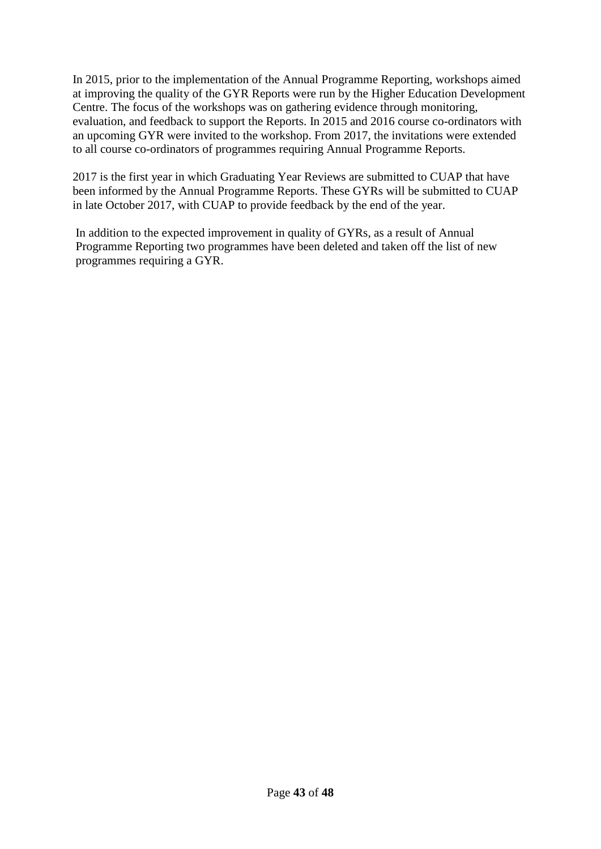In 2015, prior to the implementation of the Annual Programme Reporting, workshops aimed at improving the quality of the GYR Reports were run by the Higher Education Development Centre. The focus of the workshops was on gathering evidence through monitoring, evaluation, and feedback to support the Reports. In 2015 and 2016 course co-ordinators with an upcoming GYR were invited to the workshop. From 2017, the invitations were extended to all course co-ordinators of programmes requiring Annual Programme Reports.

2017 is the first year in which Graduating Year Reviews are submitted to CUAP that have been informed by the Annual Programme Reports. These GYRs will be submitted to CUAP in late October 2017, with CUAP to provide feedback by the end of the year.

In addition to the expected improvement in quality of GYRs, as a result of Annual Programme Reporting two programmes have been deleted and taken off the list of new programmes requiring a GYR.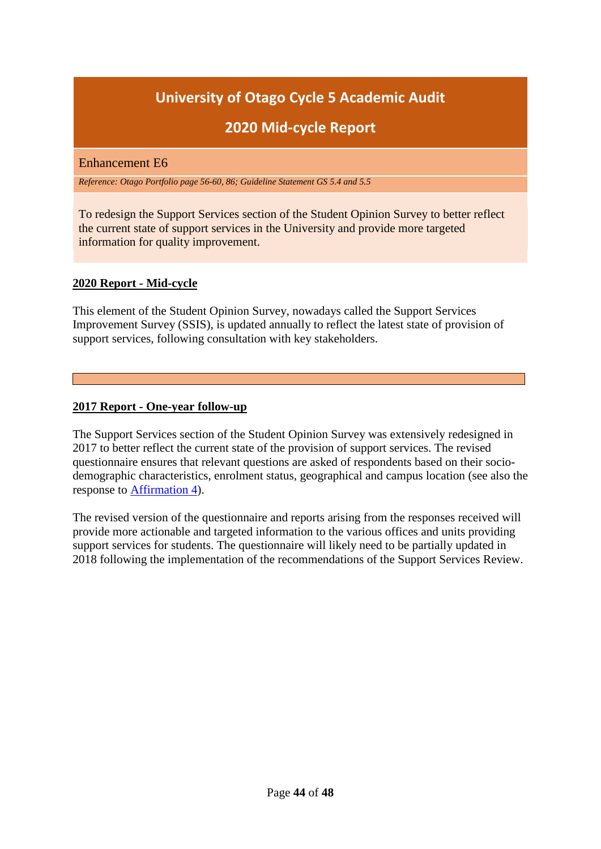# **2020 Mid-cycle Report**

### <span id="page-43-0"></span>Enhancement E6

*Reference: Otago Portfolio page 56-60, 86; Guideline Statement GS 5.4 and 5.5*

To redesign the Support Services section of the Student Opinion Survey to better reflect the current state of support services in the University and provide more targeted information for quality improvement.

### **2020 Report - Mid-cycle**

This element of the Student Opinion Survey, nowadays called the Support Services Improvement Survey (SSIS), is updated annually to reflect the latest state of provision of support services, following consultation with key stakeholders.

### **2017 Report - One-year follow-up**

The Support Services section of the Student Opinion Survey was extensively redesigned in 2017 to better reflect the current state of the provision of support services. The revised questionnaire ensures that relevant questions are asked of respondents based on their sociodemographic characteristics, enrolment status, geographical and campus location (see also the response to [Affirmation 4\)](#page-30-0).

The revised version of the questionnaire and reports arising from the responses received will provide more actionable and targeted information to the various offices and units providing support services for students. The questionnaire will likely need to be partially updated in 2018 following the implementation of the recommendations of the Support Services Review.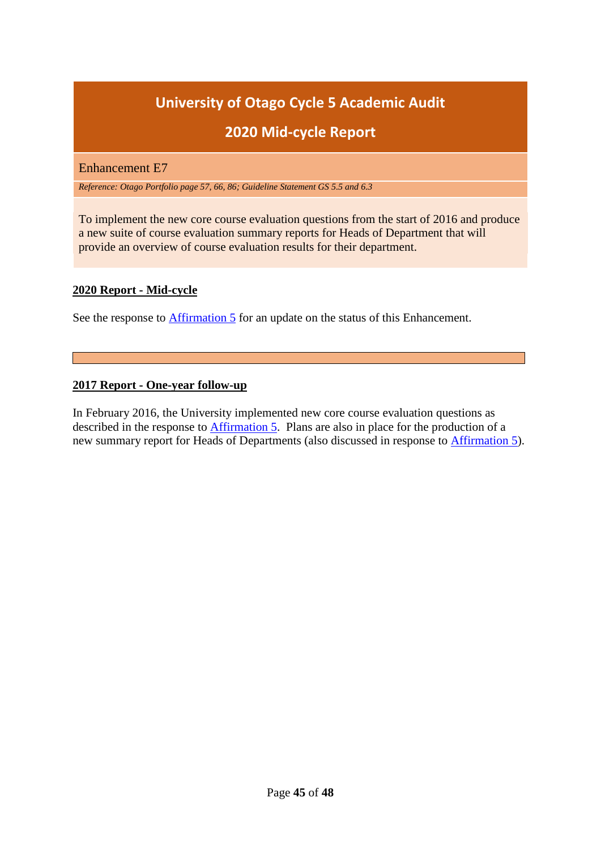# **2020 Mid-cycle Report**

<span id="page-44-0"></span>Enhancement E7

*Reference: Otago Portfolio page 57, 66, 86; Guideline Statement GS 5.5 and 6.3*

To implement the new core course evaluation questions from the start of 2016 and produce a new suite of course evaluation summary reports for Heads of Department that will provide an overview of course evaluation results for their department.

### **2020 Report - Mid-cycle**

See the response to [Affirmation 5](#page-31-0) for an update on the status of this Enhancement.

#### **2017 Report - One-year follow-up**

In February 2016, the University implemented new core course evaluation questions as described in the response to [Affirmation 5.](#page-31-0) Plans are also in place for the production of a new summary report for Heads of Departments (also discussed in response to [Affirmation 5\)](#page-31-0).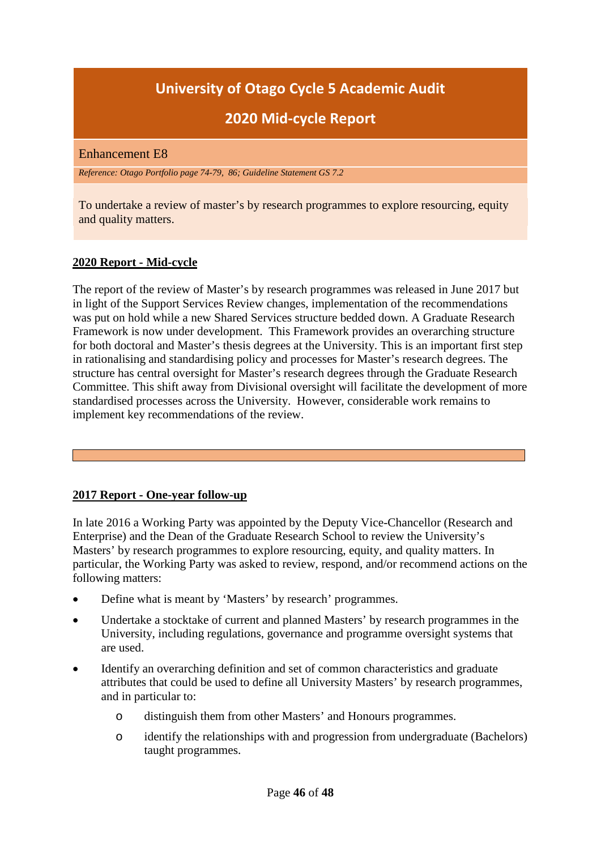# **2020 Mid-cycle Report**

#### <span id="page-45-0"></span>Enhancement E8

*Reference: Otago Portfolio page 74-79, 86; Guideline Statement GS 7.2*

To undertake a review of master's by research programmes to explore resourcing, equity and quality matters.

### **2020 Report - Mid-cycle**

The report of the review of Master's by research programmes was released in June 2017 but in light of the Support Services Review changes, implementation of the recommendations was put on hold while a new Shared Services structure bedded down. A Graduate Research Framework is now under development. This Framework provides an overarching structure for both doctoral and Master's thesis degrees at the University. This is an important first step in rationalising and standardising policy and processes for Master's research degrees. The structure has central oversight for Master's research degrees through the Graduate Research Committee. This shift away from Divisional oversight will facilitate the development of more standardised processes across the University. However, considerable work remains to implement key recommendations of the review.

#### **2017 Report - One-year follow-up**

In late 2016 a Working Party was appointed by the Deputy Vice-Chancellor (Research and Enterprise) and the Dean of the Graduate Research School to review the University's Masters' by research programmes to explore resourcing, equity, and quality matters. In particular, the Working Party was asked to review, respond, and/or recommend actions on the following matters:

- Define what is meant by 'Masters' by research' programmes.
- Undertake a stocktake of current and planned Masters' by research programmes in the University, including regulations, governance and programme oversight systems that are used.
- Identify an overarching definition and set of common characteristics and graduate attributes that could be used to define all University Masters' by research programmes, and in particular to:
	- o distinguish them from other Masters' and Honours programmes.
	- o identify the relationships with and progression from undergraduate (Bachelors) taught programmes.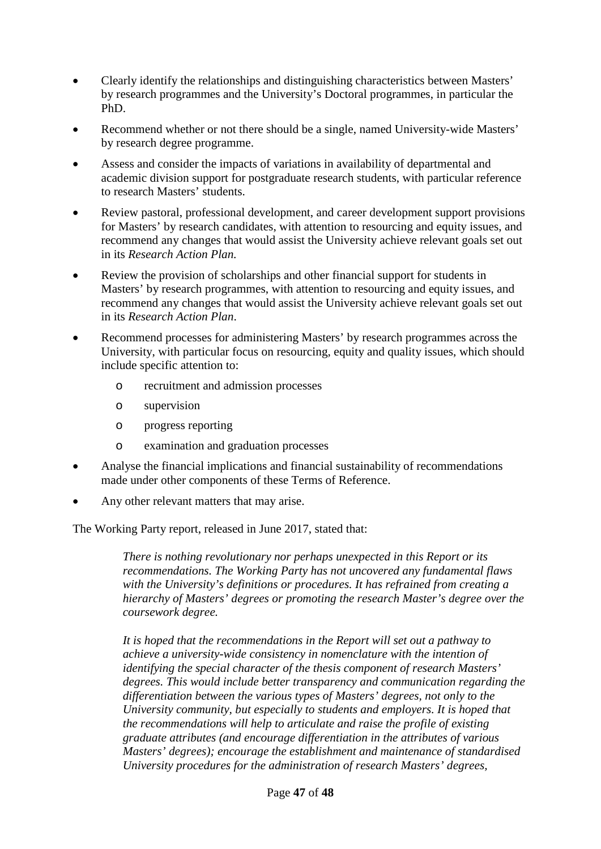- Clearly identify the relationships and distinguishing characteristics between Masters' by research programmes and the University's Doctoral programmes, in particular the PhD.
- Recommend whether or not there should be a single, named University-wide Masters' by research degree programme.
- Assess and consider the impacts of variations in availability of departmental and academic division support for postgraduate research students, with particular reference to research Masters' students.
- Review pastoral, professional development, and career development support provisions for Masters' by research candidates, with attention to resourcing and equity issues, and recommend any changes that would assist the University achieve relevant goals set out in its *Research Action Plan.*
- Review the provision of scholarships and other financial support for students in Masters' by research programmes, with attention to resourcing and equity issues, and recommend any changes that would assist the University achieve relevant goals set out in its *Research Action Plan*.
- Recommend processes for administering Masters' by research programmes across the University, with particular focus on resourcing, equity and quality issues, which should include specific attention to:
	- o recruitment and admission processes
	- o supervision
	- o progress reporting
	- o examination and graduation processes
- Analyse the financial implications and financial sustainability of recommendations made under other components of these Terms of Reference.
- Any other relevant matters that may arise.

The Working Party report, released in June 2017, stated that:

*There is nothing revolutionary nor perhaps unexpected in this Report or its recommendations. The Working Party has not uncovered any fundamental flaws with the University's definitions or procedures. It has refrained from creating a hierarchy of Masters' degrees or promoting the research Master's degree over the coursework degree.* 

*It is hoped that the recommendations in the Report will set out a pathway to achieve a university-wide consistency in nomenclature with the intention of identifying the special character of the thesis component of research Masters' degrees. This would include better transparency and communication regarding the differentiation between the various types of Masters' degrees, not only to the University community, but especially to students and employers. It is hoped that the recommendations will help to articulate and raise the profile of existing graduate attributes (and encourage differentiation in the attributes of various Masters' degrees); encourage the establishment and maintenance of standardised University procedures for the administration of research Masters' degrees,*